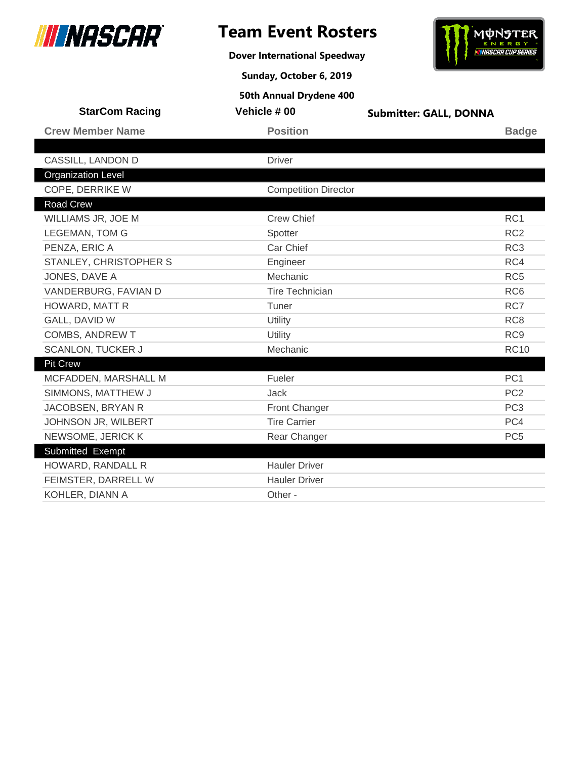

**Dover International Speedway**



**Sunday, October 6, 2019**

| <b>StarCom Racing</b>     | Vehicle #00                 | <b>Submitter: GALL, DONNA</b> |
|---------------------------|-----------------------------|-------------------------------|
| <b>Crew Member Name</b>   | <b>Position</b>             | <b>Badge</b>                  |
|                           |                             |                               |
| CASSILL, LANDON D         | <b>Driver</b>               |                               |
| <b>Organization Level</b> |                             |                               |
| COPE, DERRIKE W           | <b>Competition Director</b> |                               |
| <b>Road Crew</b>          |                             |                               |
| WILLIAMS JR, JOE M        | <b>Crew Chief</b>           | RC1                           |
| <b>LEGEMAN, TOM G</b>     | Spotter                     | RC <sub>2</sub>               |
| PENZA, ERIC A             | Car Chief                   | RC <sub>3</sub>               |
| STANLEY, CHRISTOPHER S    | Engineer                    | RC4                           |
| JONES, DAVE A             | Mechanic                    | RC <sub>5</sub>               |
| VANDERBURG, FAVIAN D      | <b>Tire Technician</b>      | RC <sub>6</sub>               |
| HOWARD, MATT R            | Tuner                       | RC7                           |
| GALL, DAVID W             | Utility                     | RC <sub>8</sub>               |
| <b>COMBS, ANDREW T</b>    | Utility                     | RC <sub>9</sub>               |
| <b>SCANLON, TUCKER J</b>  | Mechanic                    | <b>RC10</b>                   |
| <b>Pit Crew</b>           |                             |                               |
| MCFADDEN, MARSHALL M      | Fueler                      | PC <sub>1</sub>               |
| SIMMONS, MATTHEW J        | Jack                        | PC <sub>2</sub>               |
| JACOBSEN, BRYAN R         | <b>Front Changer</b>        | PC <sub>3</sub>               |
| JOHNSON JR, WILBERT       | <b>Tire Carrier</b>         | PC4                           |
| NEWSOME, JERICK K         | Rear Changer                | PC <sub>5</sub>               |
| Submitted Exempt          |                             |                               |
| HOWARD, RANDALL R         | <b>Hauler Driver</b>        |                               |
| FEIMSTER, DARRELL W       | <b>Hauler Driver</b>        |                               |
| KOHLER, DIANN A           | Other -                     |                               |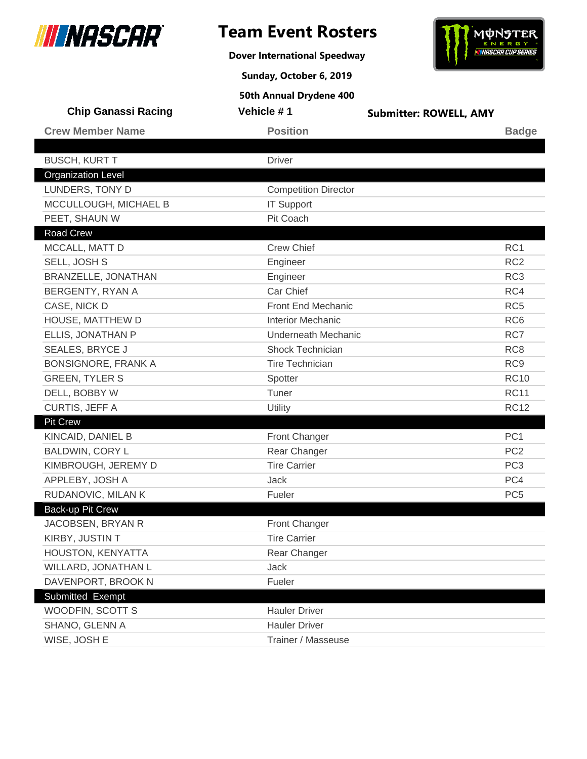

**Dover International Speedway**



**Sunday, October 6, 2019**

| <b>Chip Ganassi Racing</b> | Vehicle #1                  | <b>Submitter: ROWELL, AMY</b> |
|----------------------------|-----------------------------|-------------------------------|
| <b>Crew Member Name</b>    | <b>Position</b>             | <b>Badge</b>                  |
| <b>BUSCH, KURT T</b>       | <b>Driver</b>               |                               |
| <b>Organization Level</b>  |                             |                               |
| LUNDERS, TONY D            | <b>Competition Director</b> |                               |
| MCCULLOUGH, MICHAEL B      | <b>IT Support</b>           |                               |
| PEET, SHAUN W              | Pit Coach                   |                               |
| <b>Road Crew</b>           |                             |                               |
| MCCALL, MATT D             | <b>Crew Chief</b>           | RC1                           |
| SELL, JOSH S               | Engineer                    | RC <sub>2</sub>               |
| BRANZELLE, JONATHAN        | Engineer                    | RC <sub>3</sub>               |
| BERGENTY, RYAN A           | Car Chief                   | RC4                           |
| CASE, NICK D               | Front End Mechanic          | RC <sub>5</sub>               |
| HOUSE, MATTHEW D           | <b>Interior Mechanic</b>    | RC <sub>6</sub>               |
| ELLIS, JONATHAN P          | <b>Underneath Mechanic</b>  | RC7                           |
| SEALES, BRYCE J            | <b>Shock Technician</b>     | RC <sub>8</sub>               |
| <b>BONSIGNORE, FRANK A</b> | <b>Tire Technician</b>      | RC <sub>9</sub>               |
| <b>GREEN, TYLER S</b>      | Spotter                     | <b>RC10</b>                   |
| DELL, BOBBY W              | Tuner                       | <b>RC11</b>                   |
| CURTIS, JEFF A             | Utility                     | <b>RC12</b>                   |
| <b>Pit Crew</b>            |                             |                               |
| KINCAID, DANIEL B          | Front Changer               | PC <sub>1</sub>               |
| <b>BALDWIN, CORY L</b>     | Rear Changer                | PC <sub>2</sub>               |
| KIMBROUGH, JEREMY D        | <b>Tire Carrier</b>         | PC <sub>3</sub>               |
| APPLEBY, JOSH A            | <b>Jack</b>                 | PC4                           |
| RUDANOVIC, MILAN K         | Fueler                      | PC <sub>5</sub>               |
| Back-up Pit Crew           |                             |                               |
| JACOBSEN, BRYAN R          | <b>Front Changer</b>        |                               |
| KIRBY, JUSTIN T            | <b>Tire Carrier</b>         |                               |
| HOUSTON, KENYATTA          | Rear Changer                |                               |
| WILLARD, JONATHAN L        | Jack                        |                               |
| DAVENPORT, BROOK N         | Fueler                      |                               |
| Submitted Exempt           |                             |                               |
| WOODFIN, SCOTT S           | <b>Hauler Driver</b>        |                               |
| SHANO, GLENN A             | <b>Hauler Driver</b>        |                               |
| WISE, JOSH E               | Trainer / Masseuse          |                               |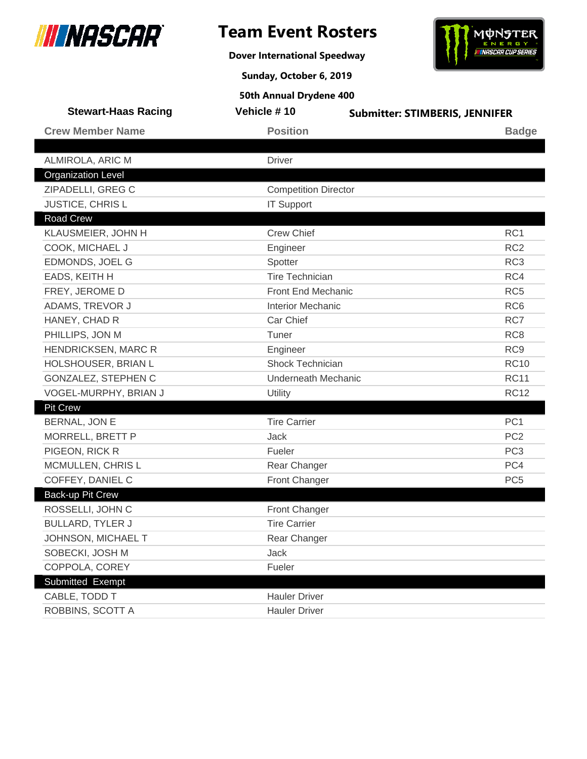

**Dover International Speedway**



**Sunday, October 6, 2019**

| Vehicle #10                | <b>Submitter: STIMBERIS, JENNIFER</b>                                                                                                   |
|----------------------------|-----------------------------------------------------------------------------------------------------------------------------------------|
| <b>Position</b>            | <b>Badge</b>                                                                                                                            |
|                            |                                                                                                                                         |
|                            |                                                                                                                                         |
|                            |                                                                                                                                         |
|                            |                                                                                                                                         |
|                            |                                                                                                                                         |
|                            |                                                                                                                                         |
|                            | RC <sub>1</sub>                                                                                                                         |
|                            | RC <sub>2</sub>                                                                                                                         |
|                            | RC <sub>3</sub>                                                                                                                         |
|                            | RC4                                                                                                                                     |
| Front End Mechanic         | RC <sub>5</sub>                                                                                                                         |
| <b>Interior Mechanic</b>   | RC <sub>6</sub>                                                                                                                         |
| Car Chief                  | RC7                                                                                                                                     |
| Tuner                      | RC <sub>8</sub>                                                                                                                         |
| Engineer                   | RC <sub>9</sub>                                                                                                                         |
| Shock Technician           | <b>RC10</b>                                                                                                                             |
| <b>Underneath Mechanic</b> | <b>RC11</b>                                                                                                                             |
| Utility                    | <b>RC12</b>                                                                                                                             |
|                            |                                                                                                                                         |
| <b>Tire Carrier</b>        | PC <sub>1</sub>                                                                                                                         |
| Jack                       | PC <sub>2</sub>                                                                                                                         |
| Fueler                     | PC <sub>3</sub>                                                                                                                         |
| Rear Changer               | PC4                                                                                                                                     |
| Front Changer              | PC <sub>5</sub>                                                                                                                         |
|                            |                                                                                                                                         |
| Front Changer              |                                                                                                                                         |
| <b>Tire Carrier</b>        |                                                                                                                                         |
| Rear Changer               |                                                                                                                                         |
| Jack                       |                                                                                                                                         |
| Fueler                     |                                                                                                                                         |
|                            |                                                                                                                                         |
| <b>Hauler Driver</b>       |                                                                                                                                         |
| <b>Hauler Driver</b>       |                                                                                                                                         |
|                            | <b>Driver</b><br><b>Competition Director</b><br><b>IT Support</b><br><b>Crew Chief</b><br>Engineer<br>Spotter<br><b>Tire Technician</b> |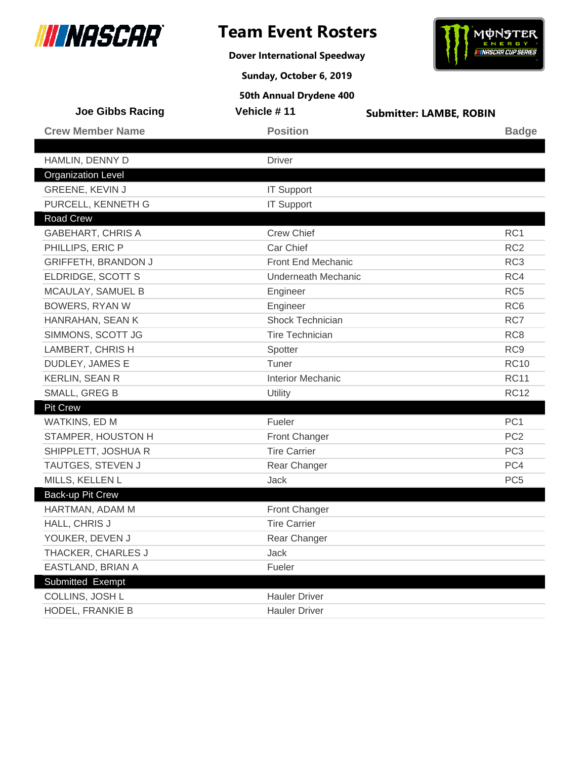

**Dover International Speedway**



**Sunday, October 6, 2019**

| <b>Joe Gibbs Racing</b>    | Vehicle #11                | <b>Submitter: LAMBE, ROBIN</b> |
|----------------------------|----------------------------|--------------------------------|
| <b>Crew Member Name</b>    | <b>Position</b>            | <b>Badge</b>                   |
|                            |                            |                                |
| HAMLIN, DENNY D            | <b>Driver</b>              |                                |
| <b>Organization Level</b>  |                            |                                |
| GREENE, KEVIN J            | <b>IT Support</b>          |                                |
| PURCELL, KENNETH G         | <b>IT Support</b>          |                                |
| <b>Road Crew</b>           |                            |                                |
| <b>GABEHART, CHRIS A</b>   | <b>Crew Chief</b>          | RC1                            |
| PHILLIPS, ERIC P           | Car Chief                  | RC <sub>2</sub>                |
| <b>GRIFFETH, BRANDON J</b> | Front End Mechanic         | RC <sub>3</sub>                |
| ELDRIDGE, SCOTT S          | <b>Underneath Mechanic</b> | RC4                            |
| MCAULAY, SAMUEL B          | Engineer                   | RC <sub>5</sub>                |
| <b>BOWERS, RYAN W</b>      | Engineer                   | RC <sub>6</sub>                |
| HANRAHAN, SEAN K           | Shock Technician           | RC7                            |
| SIMMONS, SCOTT JG          | Tire Technician            | RC <sub>8</sub>                |
| LAMBERT, CHRIS H           | Spotter                    | RC <sub>9</sub>                |
| DUDLEY, JAMES E            | Tuner                      | <b>RC10</b>                    |
| <b>KERLIN, SEAN R</b>      | <b>Interior Mechanic</b>   | <b>RC11</b>                    |
| SMALL, GREG B              | Utility                    | <b>RC12</b>                    |
| <b>Pit Crew</b>            |                            |                                |
| WATKINS, ED M              | Fueler                     | PC <sub>1</sub>                |
| STAMPER, HOUSTON H         | Front Changer              | PC <sub>2</sub>                |
| SHIPPLETT, JOSHUA R        | <b>Tire Carrier</b>        | PC <sub>3</sub>                |
| TAUTGES, STEVEN J          | Rear Changer               | PC4                            |
| MILLS, KELLEN L            | Jack                       | PC <sub>5</sub>                |
| Back-up Pit Crew           |                            |                                |
| HARTMAN, ADAM M            | <b>Front Changer</b>       |                                |
| HALL, CHRIS J              | <b>Tire Carrier</b>        |                                |
| YOUKER, DEVEN J            | Rear Changer               |                                |
| THACKER, CHARLES J         | Jack                       |                                |
| EASTLAND, BRIAN A          | Fueler                     |                                |
| Submitted Exempt           |                            |                                |
| COLLINS, JOSH L            | <b>Hauler Driver</b>       |                                |
| HODEL, FRANKIE B           | <b>Hauler Driver</b>       |                                |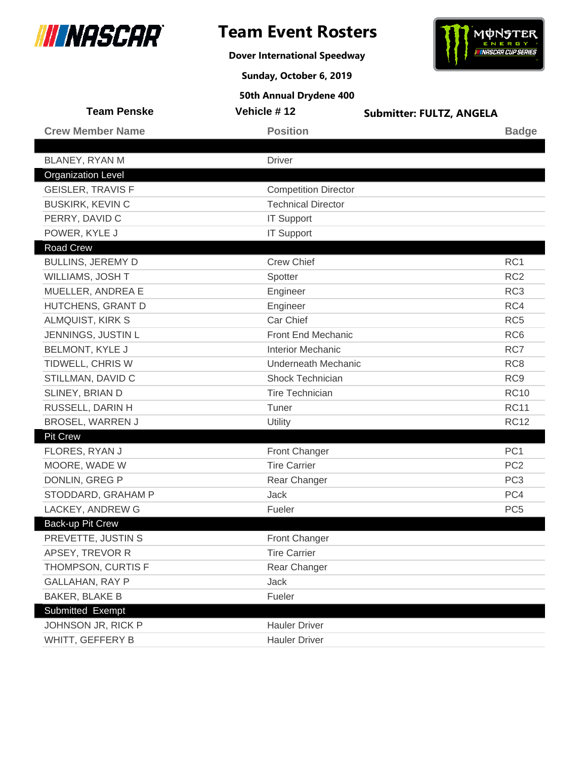

**Dover International Speedway**



**Sunday, October 6, 2019**

| <b>Team Penske</b>        | Vehicle #12                 | <b>Submitter: FULTZ, ANGELA</b> |
|---------------------------|-----------------------------|---------------------------------|
| <b>Crew Member Name</b>   | <b>Position</b>             | <b>Badge</b>                    |
|                           |                             |                                 |
| BLANEY, RYAN M            | <b>Driver</b>               |                                 |
| <b>Organization Level</b> |                             |                                 |
| <b>GEISLER, TRAVIS F</b>  | <b>Competition Director</b> |                                 |
| <b>BUSKIRK, KEVIN C</b>   | <b>Technical Director</b>   |                                 |
| PERRY, DAVID C            | <b>IT Support</b>           |                                 |
| POWER, KYLE J             | <b>IT Support</b>           |                                 |
| <b>Road Crew</b>          |                             |                                 |
| <b>BULLINS, JEREMY D</b>  | <b>Crew Chief</b>           | RC1                             |
| WILLIAMS, JOSH T          | Spotter                     | RC <sub>2</sub>                 |
| MUELLER, ANDREA E         | Engineer                    | RC <sub>3</sub>                 |
| HUTCHENS, GRANT D         | Engineer                    | RC4                             |
| ALMQUIST, KIRK S          | Car Chief                   | RC <sub>5</sub>                 |
| JENNINGS, JUSTIN L        | Front End Mechanic          | RC <sub>6</sub>                 |
| <b>BELMONT, KYLE J</b>    | <b>Interior Mechanic</b>    | RC7                             |
| TIDWELL, CHRIS W          | <b>Underneath Mechanic</b>  | RC <sub>8</sub>                 |
| STILLMAN, DAVID C         | Shock Technician            | RC <sub>9</sub>                 |
| SLINEY, BRIAN D           | <b>Tire Technician</b>      | <b>RC10</b>                     |
| RUSSELL, DARIN H          | Tuner                       | <b>RC11</b>                     |
| <b>BROSEL, WARREN J</b>   | Utility                     | <b>RC12</b>                     |
| <b>Pit Crew</b>           |                             |                                 |
| FLORES, RYAN J            | Front Changer               | PC <sub>1</sub>                 |
| MOORE, WADE W             | <b>Tire Carrier</b>         | PC <sub>2</sub>                 |
| DONLIN, GREG P            | Rear Changer                | PC <sub>3</sub>                 |
| STODDARD, GRAHAM P        | <b>Jack</b>                 | PC4                             |
| LACKEY, ANDREW G          | Fueler                      | PC <sub>5</sub>                 |
| Back-up Pit Crew          |                             |                                 |
| PREVETTE, JUSTIN S        | Front Changer               |                                 |
| APSEY, TREVOR R           | <b>Tire Carrier</b>         |                                 |
| THOMPSON, CURTIS F        | Rear Changer                |                                 |
| <b>GALLAHAN, RAY P</b>    | Jack                        |                                 |
| <b>BAKER, BLAKE B</b>     | Fueler                      |                                 |
| Submitted Exempt          |                             |                                 |
| JOHNSON JR, RICK P        | <b>Hauler Driver</b>        |                                 |
| WHITT, GEFFERY B          | <b>Hauler Driver</b>        |                                 |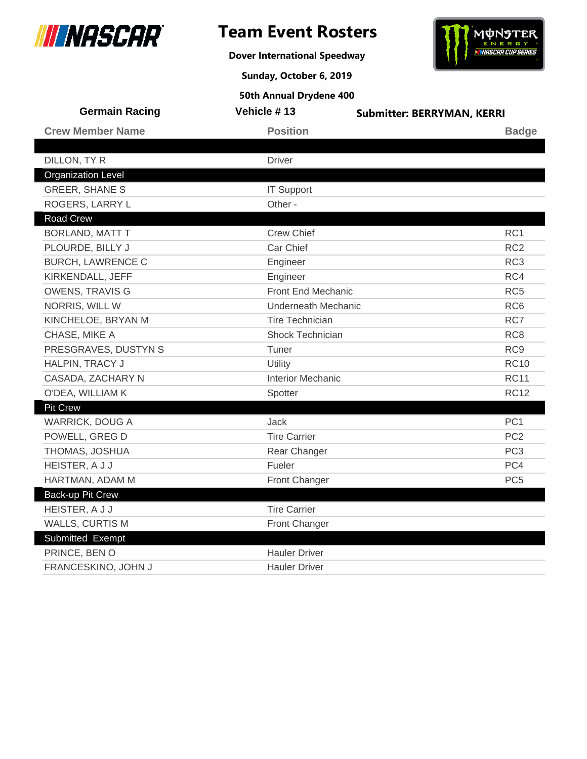

# **Team Event Rosters**

**Dover International Speedway**

**Sunday, October 6, 2019**



| <b>Germain Racing</b>     | Vehicle #13              | <b>Submitter: BERRYMAN, KERRI</b> |
|---------------------------|--------------------------|-----------------------------------|
| <b>Crew Member Name</b>   | <b>Position</b>          | <b>Badge</b>                      |
|                           |                          |                                   |
| DILLON, TY R              | <b>Driver</b>            |                                   |
| <b>Organization Level</b> |                          |                                   |
| <b>GREER, SHANE S</b>     | <b>IT Support</b>        |                                   |
| ROGERS, LARRY L           | Other -                  |                                   |
| Road Crew                 |                          |                                   |
| <b>BORLAND, MATT T</b>    | <b>Crew Chief</b>        | RC <sub>1</sub>                   |
| PLOURDE, BILLY J          | Car Chief                | RC <sub>2</sub>                   |
| <b>BURCH, LAWRENCE C</b>  | Engineer                 | RC <sub>3</sub>                   |
| KIRKENDALL, JEFF          | Engineer                 | RC4                               |
| <b>OWENS, TRAVIS G</b>    | Front End Mechanic       | RC <sub>5</sub>                   |
| NORRIS, WILL W            | Underneath Mechanic      | RC <sub>6</sub>                   |
| KINCHELOE, BRYAN M        | <b>Tire Technician</b>   | RC7                               |
| CHASE, MIKE A             | <b>Shock Technician</b>  | RC <sub>8</sub>                   |
| PRESGRAVES, DUSTYN S      | Tuner                    | RC <sub>9</sub>                   |
| HALPIN, TRACY J           | Utility                  | <b>RC10</b>                       |
| CASADA, ZACHARY N         | <b>Interior Mechanic</b> | <b>RC11</b>                       |
| O'DEA, WILLIAM K          | Spotter                  | <b>RC12</b>                       |
| <b>Pit Crew</b>           |                          |                                   |
| <b>WARRICK, DOUG A</b>    | Jack                     | PC <sub>1</sub>                   |
| POWELL, GREG D            | <b>Tire Carrier</b>      | PC <sub>2</sub>                   |
| THOMAS, JOSHUA            | Rear Changer             | PC <sub>3</sub>                   |
| HEISTER, A J J            | Fueler                   | PC4                               |
| HARTMAN, ADAM M           | Front Changer            | PC <sub>5</sub>                   |
| Back-up Pit Crew          |                          |                                   |
| HEISTER, A J J            | <b>Tire Carrier</b>      |                                   |
| WALLS, CURTIS M           | Front Changer            |                                   |
| Submitted Exempt          |                          |                                   |
| PRINCE, BEN O             | <b>Hauler Driver</b>     |                                   |
| FRANCESKINO, JOHN J       | <b>Hauler Driver</b>     |                                   |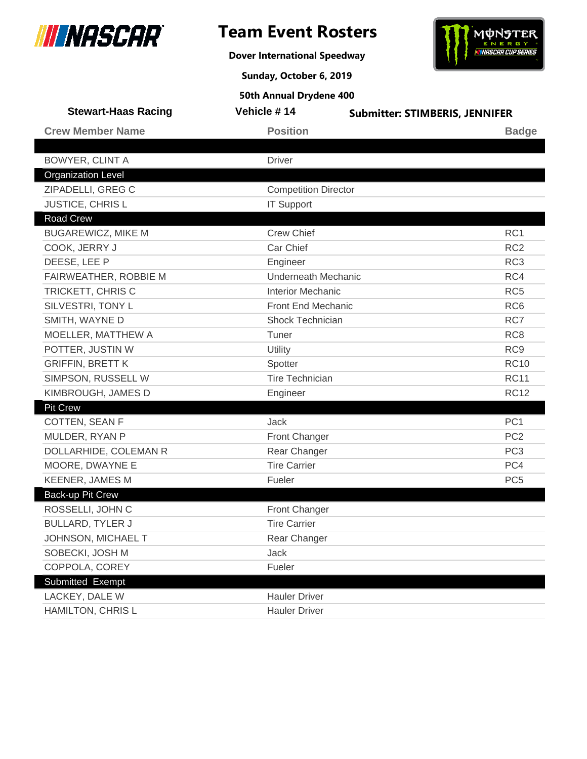

**Dover International Speedway**



**Sunday, October 6, 2019**

| <b>Stewart-Haas Racing</b> | Vehicle #14                 | <b>Submitter: STIMBERIS, JENNIFER</b> |
|----------------------------|-----------------------------|---------------------------------------|
| <b>Crew Member Name</b>    | <b>Position</b>             | <b>Badge</b>                          |
|                            |                             |                                       |
| <b>BOWYER, CLINT A</b>     | <b>Driver</b>               |                                       |
| <b>Organization Level</b>  |                             |                                       |
| ZIPADELLI, GREG C          | <b>Competition Director</b> |                                       |
| JUSTICE, CHRIS L           | <b>IT Support</b>           |                                       |
| <b>Road Crew</b>           |                             |                                       |
| <b>BUGAREWICZ, MIKE M</b>  | <b>Crew Chief</b>           | RC1                                   |
| COOK, JERRY J              | Car Chief                   | RC <sub>2</sub>                       |
| DEESE, LEE P               | Engineer                    | RC <sub>3</sub>                       |
| FAIRWEATHER, ROBBIE M      | <b>Underneath Mechanic</b>  | RC4                                   |
| TRICKETT, CHRIS C          | <b>Interior Mechanic</b>    | RC <sub>5</sub>                       |
| SILVESTRI, TONY L          | <b>Front End Mechanic</b>   | RC <sub>6</sub>                       |
| SMITH, WAYNE D             | Shock Technician            | RC7                                   |
| MOELLER, MATTHEW A         | Tuner                       | RC <sub>8</sub>                       |
| POTTER, JUSTIN W           | Utility                     | RC <sub>9</sub>                       |
| <b>GRIFFIN, BRETT K</b>    | Spotter                     | <b>RC10</b>                           |
| SIMPSON, RUSSELL W         | <b>Tire Technician</b>      | <b>RC11</b>                           |
| KIMBROUGH, JAMES D         | Engineer                    | <b>RC12</b>                           |
| <b>Pit Crew</b>            |                             |                                       |
| COTTEN, SEAN F             | Jack                        | PC <sub>1</sub>                       |
| MULDER, RYAN P             | <b>Front Changer</b>        | PC <sub>2</sub>                       |
| DOLLARHIDE, COLEMAN R      | Rear Changer                | PC <sub>3</sub>                       |
| MOORE, DWAYNE E            | <b>Tire Carrier</b>         | PC4                                   |
| <b>KEENER, JAMES M</b>     | Fueler                      | PC <sub>5</sub>                       |
| Back-up Pit Crew           |                             |                                       |
| ROSSELLI, JOHN C           | <b>Front Changer</b>        |                                       |
| <b>BULLARD, TYLER J</b>    | <b>Tire Carrier</b>         |                                       |
| JOHNSON, MICHAEL T         | Rear Changer                |                                       |
| SOBECKI, JOSH M            | Jack                        |                                       |
| COPPOLA, COREY             | Fueler                      |                                       |
| Submitted Exempt           |                             |                                       |
| LACKEY, DALE W             | <b>Hauler Driver</b>        |                                       |
| HAMILTON, CHRIS L          | <b>Hauler Driver</b>        |                                       |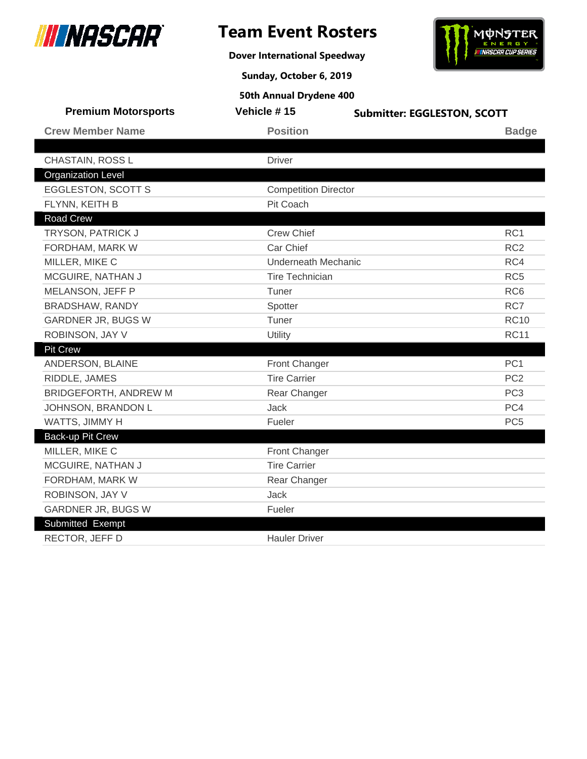

**Dover International Speedway**



**Sunday, October 6, 2019**

| <b>Premium Motorsports</b>   | Vehicle #15                 | <b>Submitter: EGGLESTON, SCOTT</b> |
|------------------------------|-----------------------------|------------------------------------|
| <b>Crew Member Name</b>      | <b>Position</b>             | <b>Badge</b>                       |
|                              |                             |                                    |
| CHASTAIN, ROSS L             | <b>Driver</b>               |                                    |
| <b>Organization Level</b>    |                             |                                    |
| <b>EGGLESTON, SCOTT S</b>    | <b>Competition Director</b> |                                    |
| FLYNN, KEITH B               | Pit Coach                   |                                    |
| <b>Road Crew</b>             |                             |                                    |
| TRYSON, PATRICK J            | <b>Crew Chief</b>           | RC <sub>1</sub>                    |
| FORDHAM, MARK W              | Car Chief                   | RC <sub>2</sub>                    |
| MILLER, MIKE C               | <b>Underneath Mechanic</b>  | RC4                                |
| MCGUIRE, NATHAN J            | <b>Tire Technician</b>      | RC <sub>5</sub>                    |
| MELANSON, JEFF P             | Tuner                       | RC <sub>6</sub>                    |
| BRADSHAW, RANDY              | Spotter                     | RC7                                |
| <b>GARDNER JR, BUGS W</b>    | Tuner                       | <b>RC10</b>                        |
| ROBINSON, JAY V              | Utility                     | <b>RC11</b>                        |
| <b>Pit Crew</b>              |                             |                                    |
| ANDERSON, BLAINE             | Front Changer               | PC <sub>1</sub>                    |
| RIDDLE, JAMES                | <b>Tire Carrier</b>         | PC <sub>2</sub>                    |
| <b>BRIDGEFORTH, ANDREW M</b> | Rear Changer                | PC <sub>3</sub>                    |
| JOHNSON, BRANDON L           | <b>Jack</b>                 | PC4                                |
| WATTS, JIMMY H               | Fueler                      | PC <sub>5</sub>                    |
| <b>Back-up Pit Crew</b>      |                             |                                    |
| MILLER, MIKE C               | Front Changer               |                                    |
| MCGUIRE, NATHAN J            | <b>Tire Carrier</b>         |                                    |
| FORDHAM, MARK W              | Rear Changer                |                                    |
| ROBINSON, JAY V              | Jack                        |                                    |
| <b>GARDNER JR, BUGS W</b>    | Fueler                      |                                    |
| Submitted Exempt             |                             |                                    |
| RECTOR, JEFF D               | <b>Hauler Driver</b>        |                                    |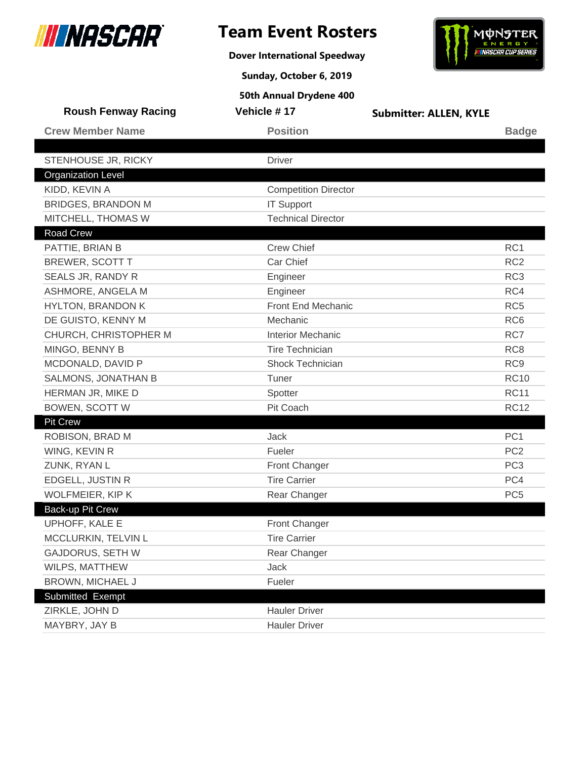

**Dover International Speedway**



**Sunday, October 6, 2019**

| <b>Roush Fenway Racing</b> | Vehicle #17                 | <b>Submitter: ALLEN, KYLE</b> |                 |
|----------------------------|-----------------------------|-------------------------------|-----------------|
| <b>Crew Member Name</b>    | <b>Position</b>             |                               | <b>Badge</b>    |
|                            |                             |                               |                 |
| STENHOUSE JR, RICKY        | <b>Driver</b>               |                               |                 |
| <b>Organization Level</b>  |                             |                               |                 |
| KIDD, KEVIN A              | <b>Competition Director</b> |                               |                 |
| <b>BRIDGES, BRANDON M</b>  | <b>IT Support</b>           |                               |                 |
| MITCHELL, THOMAS W         | <b>Technical Director</b>   |                               |                 |
| Road Crew                  |                             |                               |                 |
| PATTIE, BRIAN B            | <b>Crew Chief</b>           |                               | RC1             |
| <b>BREWER, SCOTT T</b>     | Car Chief                   |                               | RC <sub>2</sub> |
| SEALS JR, RANDY R          | Engineer                    |                               | RC <sub>3</sub> |
| ASHMORE, ANGELA M          | Engineer                    |                               | RC4             |
| <b>HYLTON, BRANDON K</b>   | <b>Front End Mechanic</b>   |                               | RC <sub>5</sub> |
| DE GUISTO, KENNY M         | Mechanic                    |                               | RC <sub>6</sub> |
| CHURCH, CHRISTOPHER M      | <b>Interior Mechanic</b>    |                               | RC7             |
| MINGO, BENNY B             | <b>Tire Technician</b>      |                               | RC <sub>8</sub> |
| MCDONALD, DAVID P          | Shock Technician            |                               | RC <sub>9</sub> |
| SALMONS, JONATHAN B        | Tuner                       |                               | <b>RC10</b>     |
| HERMAN JR, MIKE D          | Spotter                     |                               | <b>RC11</b>     |
| <b>BOWEN, SCOTT W</b>      | Pit Coach                   |                               | <b>RC12</b>     |
| <b>Pit Crew</b>            |                             |                               |                 |
| ROBISON, BRAD M            | Jack                        |                               | PC <sub>1</sub> |
| WING, KEVIN R              | Fueler                      |                               | PC <sub>2</sub> |
| ZUNK, RYAN L               | Front Changer               |                               | PC <sub>3</sub> |
| <b>EDGELL, JUSTIN R</b>    | <b>Tire Carrier</b>         |                               | PC4             |
| <b>WOLFMEIER, KIP K</b>    | Rear Changer                |                               | PC <sub>5</sub> |
| Back-up Pit Crew           |                             |                               |                 |
| UPHOFF, KALE E             | Front Changer               |                               |                 |
| MCCLURKIN, TELVIN L        | <b>Tire Carrier</b>         |                               |                 |
| <b>GAJDORUS, SETH W</b>    | Rear Changer                |                               |                 |
| WILPS, MATTHEW             | Jack                        |                               |                 |
| <b>BROWN, MICHAEL J</b>    | Fueler                      |                               |                 |
| Submitted Exempt           |                             |                               |                 |
| ZIRKLE, JOHN D             | <b>Hauler Driver</b>        |                               |                 |
| MAYBRY, JAY B              | <b>Hauler Driver</b>        |                               |                 |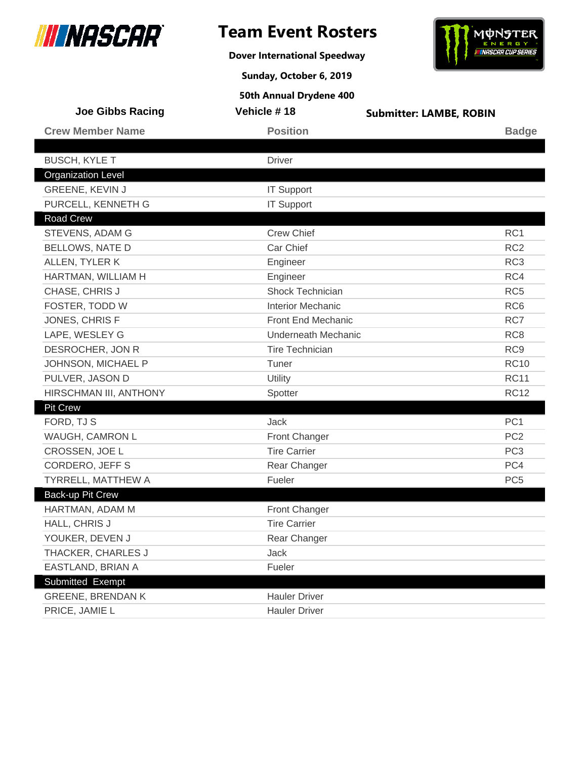

**Dover International Speedway**



**Sunday, October 6, 2019**

| Joe Gibbs Racing          | Vehicle #18                | <b>Submitter: LAMBE, ROBIN</b> |
|---------------------------|----------------------------|--------------------------------|
| <b>Crew Member Name</b>   | <b>Position</b>            | <b>Badge</b>                   |
|                           |                            |                                |
| <b>BUSCH, KYLE T</b>      | <b>Driver</b>              |                                |
| <b>Organization Level</b> |                            |                                |
| GREENE, KEVIN J           | <b>IT Support</b>          |                                |
| PURCELL, KENNETH G        | <b>IT Support</b>          |                                |
| Road Crew                 |                            |                                |
| STEVENS, ADAM G           | <b>Crew Chief</b>          | RC1                            |
| <b>BELLOWS, NATE D</b>    | Car Chief                  | RC <sub>2</sub>                |
| ALLEN, TYLER K            | Engineer                   | RC <sub>3</sub>                |
| HARTMAN, WILLIAM H        | Engineer                   | RC4                            |
| CHASE, CHRIS J            | Shock Technician           | RC <sub>5</sub>                |
| FOSTER, TODD W            | <b>Interior Mechanic</b>   | RC <sub>6</sub>                |
| JONES, CHRIS F            | <b>Front End Mechanic</b>  | RC7                            |
| LAPE, WESLEY G            | <b>Underneath Mechanic</b> | RC <sub>8</sub>                |
| DESROCHER, JON R          | Tire Technician            | RC <sub>9</sub>                |
| JOHNSON, MICHAEL P        | Tuner                      | <b>RC10</b>                    |
| PULVER, JASON D           | Utility                    | <b>RC11</b>                    |
| HIRSCHMAN III, ANTHONY    | Spotter                    | <b>RC12</b>                    |
| <b>Pit Crew</b>           |                            |                                |
| FORD, TJ S                | Jack                       | PC <sub>1</sub>                |
| WAUGH, CAMRON L           | Front Changer              | PC <sub>2</sub>                |
| CROSSEN, JOE L            | <b>Tire Carrier</b>        | PC <sub>3</sub>                |
| CORDERO, JEFF S           | Rear Changer               | PC4                            |
| TYRRELL, MATTHEW A        | Fueler                     | PC <sub>5</sub>                |
| Back-up Pit Crew          |                            |                                |
| HARTMAN, ADAM M           | Front Changer              |                                |
| HALL, CHRIS J             | <b>Tire Carrier</b>        |                                |
| YOUKER, DEVEN J           | Rear Changer               |                                |
| THACKER, CHARLES J        | Jack                       |                                |
| EASTLAND, BRIAN A         | Fueler                     |                                |
| Submitted Exempt          |                            |                                |
| <b>GREENE, BRENDAN K</b>  | <b>Hauler Driver</b>       |                                |
| PRICE, JAMIE L            | <b>Hauler Driver</b>       |                                |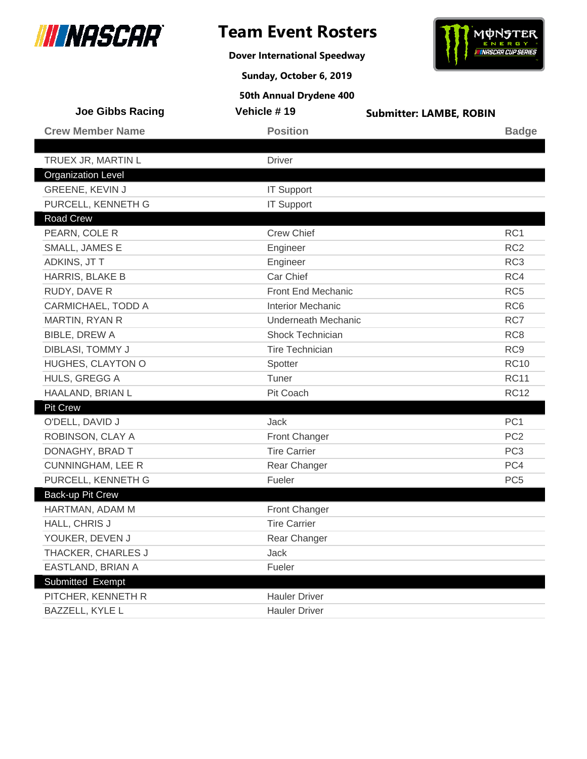

**Dover International Speedway**



**Sunday, October 6, 2019**

| <b>Joe Gibbs Racing</b>   | Vehicle #19              | <b>Submitter: LAMBE, ROBIN</b> |
|---------------------------|--------------------------|--------------------------------|
| <b>Crew Member Name</b>   | <b>Position</b>          | <b>Badge</b>                   |
|                           |                          |                                |
| TRUEX JR, MARTIN L        | <b>Driver</b>            |                                |
| <b>Organization Level</b> |                          |                                |
| GREENE, KEVIN J           | <b>IT Support</b>        |                                |
| PURCELL, KENNETH G        | <b>IT Support</b>        |                                |
| Road Crew                 |                          |                                |
| PEARN, COLE R             | <b>Crew Chief</b>        | RC1                            |
| SMALL, JAMES E            | Engineer                 | RC <sub>2</sub>                |
| ADKINS, JT T              | Engineer                 | RC <sub>3</sub>                |
| HARRIS, BLAKE B           | Car Chief                | RC4                            |
| RUDY, DAVE R              | Front End Mechanic       | RC <sub>5</sub>                |
| CARMICHAEL, TODD A        | <b>Interior Mechanic</b> | RC <sub>6</sub>                |
| MARTIN, RYAN R            | Underneath Mechanic      | RC7                            |
| <b>BIBLE, DREW A</b>      | <b>Shock Technician</b>  | RC <sub>8</sub>                |
| DIBLASI, TOMMY J          | <b>Tire Technician</b>   | RC <sub>9</sub>                |
| HUGHES, CLAYTON O         | Spotter                  | <b>RC10</b>                    |
| HULS, GREGG A             | Tuner                    | <b>RC11</b>                    |
| HAALAND, BRIAN L          | Pit Coach                | <b>RC12</b>                    |
| <b>Pit Crew</b>           |                          |                                |
| O'DELL, DAVID J           | Jack                     | PC <sub>1</sub>                |
| ROBINSON, CLAY A          | Front Changer            | PC <sub>2</sub>                |
| DONAGHY, BRAD T           | <b>Tire Carrier</b>      | PC <sub>3</sub>                |
| <b>CUNNINGHAM, LEE R</b>  | Rear Changer             | PC4                            |
| PURCELL, KENNETH G        | Fueler                   | PC <sub>5</sub>                |
| Back-up Pit Crew          |                          |                                |
| HARTMAN, ADAM M           | Front Changer            |                                |
| HALL, CHRIS J             | <b>Tire Carrier</b>      |                                |
| YOUKER, DEVEN J           | Rear Changer             |                                |
| THACKER, CHARLES J        | Jack                     |                                |
| EASTLAND, BRIAN A         | Fueler                   |                                |
| Submitted Exempt          |                          |                                |
| PITCHER, KENNETH R        | <b>Hauler Driver</b>     |                                |
| BAZZELL, KYLE L           | <b>Hauler Driver</b>     |                                |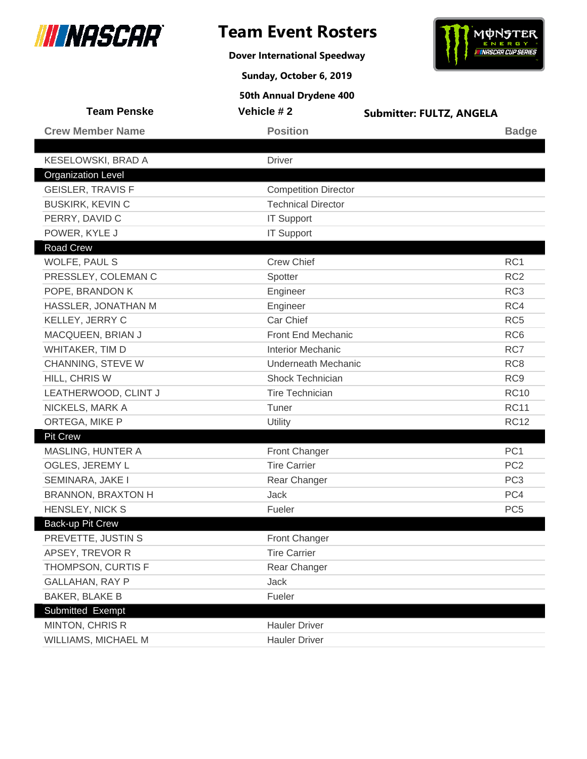

**Dover International Speedway**



**Sunday, October 6, 2019**

| <b>Team Penske</b>        | Vehicle #2                  | <b>Submitter: FULTZ, ANGELA</b> |
|---------------------------|-----------------------------|---------------------------------|
| <b>Crew Member Name</b>   | <b>Position</b>             | <b>Badge</b>                    |
|                           |                             |                                 |
| KESELOWSKI, BRAD A        | <b>Driver</b>               |                                 |
| <b>Organization Level</b> |                             |                                 |
| <b>GEISLER, TRAVIS F</b>  | <b>Competition Director</b> |                                 |
| <b>BUSKIRK, KEVIN C</b>   | <b>Technical Director</b>   |                                 |
| PERRY, DAVID C            | <b>IT Support</b>           |                                 |
| POWER, KYLE J             | <b>IT Support</b>           |                                 |
| <b>Road Crew</b>          |                             |                                 |
| WOLFE, PAUL S             | <b>Crew Chief</b>           | RC1                             |
| PRESSLEY, COLEMAN C       | Spotter                     | RC <sub>2</sub>                 |
| POPE, BRANDON K           | Engineer                    | RC <sub>3</sub>                 |
| HASSLER, JONATHAN M       | Engineer                    | RC4                             |
| KELLEY, JERRY C           | Car Chief                   | RC <sub>5</sub>                 |
| MACQUEEN, BRIAN J         | Front End Mechanic          | RC <sub>6</sub>                 |
| WHITAKER, TIM D           | <b>Interior Mechanic</b>    | RC7                             |
| CHANNING, STEVE W         | <b>Underneath Mechanic</b>  | RC <sub>8</sub>                 |
| HILL, CHRIS W             | Shock Technician            | RC <sub>9</sub>                 |
| LEATHERWOOD, CLINT J      | <b>Tire Technician</b>      | <b>RC10</b>                     |
| NICKELS, MARK A           | Tuner                       | <b>RC11</b>                     |
| ORTEGA, MIKE P            | Utility                     | <b>RC12</b>                     |
| <b>Pit Crew</b>           |                             |                                 |
| MASLING, HUNTER A         | Front Changer               | PC <sub>1</sub>                 |
| OGLES, JEREMY L           | <b>Tire Carrier</b>         | PC <sub>2</sub>                 |
| SEMINARA, JAKE I          | Rear Changer                | PC <sub>3</sub>                 |
| <b>BRANNON, BRAXTON H</b> | Jack                        | PC4                             |
| HENSLEY, NICK S           | Fueler                      | PC <sub>5</sub>                 |
| Back-up Pit Crew          |                             |                                 |
| PREVETTE, JUSTIN S        | Front Changer               |                                 |
| APSEY, TREVOR R           | <b>Tire Carrier</b>         |                                 |
| THOMPSON, CURTIS F        | Rear Changer                |                                 |
| <b>GALLAHAN, RAY P</b>    | Jack                        |                                 |
| <b>BAKER, BLAKE B</b>     | Fueler                      |                                 |
| Submitted Exempt          |                             |                                 |
| MINTON, CHRIS R           | <b>Hauler Driver</b>        |                                 |
| WILLIAMS, MICHAEL M       | <b>Hauler Driver</b>        |                                 |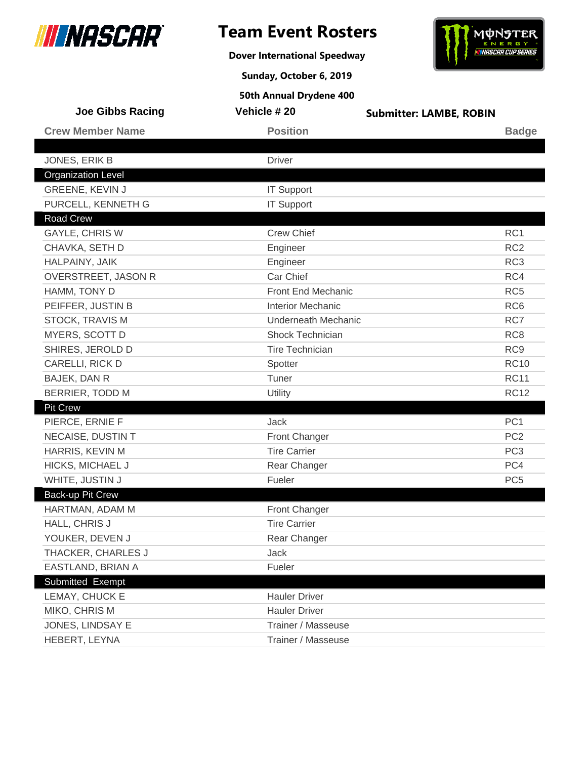

**Dover International Speedway**



**Sunday, October 6, 2019**

| <b>Joe Gibbs Racing</b>   | Vehicle # 20               | <b>Submitter: LAMBE, ROBIN</b> |
|---------------------------|----------------------------|--------------------------------|
| <b>Crew Member Name</b>   | <b>Position</b>            | <b>Badge</b>                   |
|                           |                            |                                |
| JONES, ERIK B             | <b>Driver</b>              |                                |
| <b>Organization Level</b> |                            |                                |
| GREENE, KEVIN J           | <b>IT Support</b>          |                                |
| PURCELL, KENNETH G        | <b>IT Support</b>          |                                |
| <b>Road Crew</b>          |                            |                                |
| <b>GAYLE, CHRIS W</b>     | <b>Crew Chief</b>          | RC1                            |
| CHAVKA, SETH D            | Engineer                   | RC <sub>2</sub>                |
| HALPAINY, JAIK            | Engineer                   | RC <sub>3</sub>                |
| OVERSTREET, JASON R       | Car Chief                  | RC4                            |
| HAMM, TONY D              | Front End Mechanic         | RC <sub>5</sub>                |
| PEIFFER, JUSTIN B         | <b>Interior Mechanic</b>   | RC <sub>6</sub>                |
| <b>STOCK, TRAVIS M</b>    | <b>Underneath Mechanic</b> | RC7                            |
| MYERS, SCOTT D            | Shock Technician           | RC <sub>8</sub>                |
| SHIRES, JEROLD D          | <b>Tire Technician</b>     | RC <sub>9</sub>                |
| CARELLI, RICK D           | Spotter                    | <b>RC10</b>                    |
| BAJEK, DAN R              | Tuner                      | <b>RC11</b>                    |
| <b>BERRIER, TODD M</b>    | Utility                    | <b>RC12</b>                    |
| <b>Pit Crew</b>           |                            |                                |
| PIERCE, ERNIE F           | Jack                       | PC <sub>1</sub>                |
| NECAISE, DUSTIN T         | Front Changer              | PC <sub>2</sub>                |
| HARRIS, KEVIN M           | <b>Tire Carrier</b>        | PC <sub>3</sub>                |
| <b>HICKS, MICHAEL J</b>   | Rear Changer               | PC4                            |
| WHITE, JUSTIN J           | Fueler                     | PC <sub>5</sub>                |
| Back-up Pit Crew          |                            |                                |
| HARTMAN, ADAM M           | Front Changer              |                                |
| HALL, CHRIS J             | <b>Tire Carrier</b>        |                                |
| YOUKER, DEVEN J           | Rear Changer               |                                |
| THACKER, CHARLES J        | Jack                       |                                |
| EASTLAND, BRIAN A         | Fueler                     |                                |
| Submitted Exempt          |                            |                                |
| LEMAY, CHUCK E            | <b>Hauler Driver</b>       |                                |
| MIKO, CHRIS M             | <b>Hauler Driver</b>       |                                |
| JONES, LINDSAY E          | Trainer / Masseuse         |                                |
| HEBERT, LEYNA             | Trainer / Masseuse         |                                |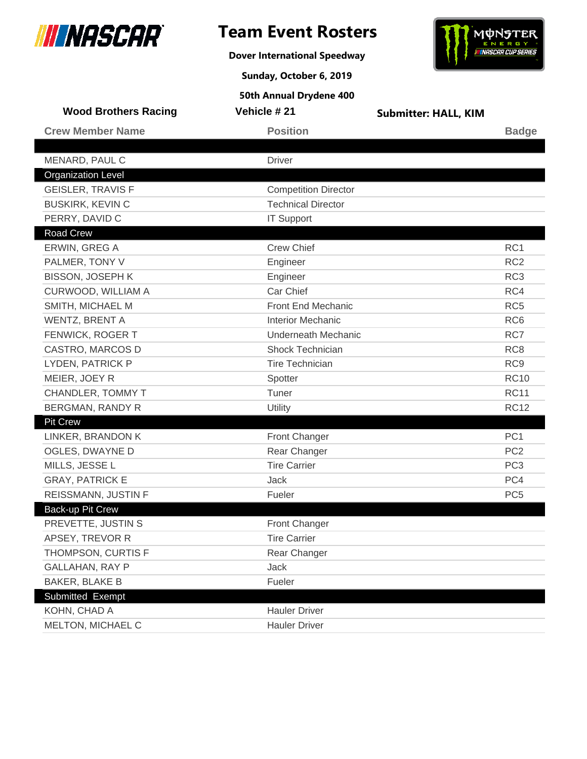

**Dover International Speedway**



**Sunday, October 6, 2019**

| <b>Wood Brothers Racing</b>                  | Vehicle #21                 | <b>Submitter: HALL, KIM</b> |                 |
|----------------------------------------------|-----------------------------|-----------------------------|-----------------|
| <b>Crew Member Name</b>                      | <b>Position</b>             |                             | <b>Badge</b>    |
|                                              |                             |                             |                 |
| MENARD, PAUL C                               | <b>Driver</b>               |                             |                 |
| <b>Organization Level</b>                    |                             |                             |                 |
| <b>GEISLER, TRAVIS F</b>                     | <b>Competition Director</b> |                             |                 |
| <b>BUSKIRK, KEVIN C</b>                      | <b>Technical Director</b>   |                             |                 |
| PERRY, DAVID C                               | <b>IT Support</b>           |                             |                 |
| Road Crew                                    | <b>Crew Chief</b>           |                             |                 |
| ERWIN, GREG A                                |                             |                             | RC <sub>1</sub> |
| PALMER, TONY V                               | Engineer                    |                             | RC <sub>2</sub> |
| <b>BISSON, JOSEPH K</b>                      | Engineer                    |                             | RC <sub>3</sub> |
| CURWOOD, WILLIAM A                           | Car Chief                   |                             | RC4             |
| SMITH, MICHAEL M                             | Front End Mechanic          |                             | RC <sub>5</sub> |
| WENTZ, BRENT A                               | <b>Interior Mechanic</b>    |                             | RC <sub>6</sub> |
| FENWICK, ROGER T                             | <b>Underneath Mechanic</b>  |                             | RC7             |
| CASTRO, MARCOS D                             | Shock Technician            |                             | RC <sub>8</sub> |
| LYDEN, PATRICK P                             | <b>Tire Technician</b>      |                             | RC <sub>9</sub> |
| MEIER, JOEY R                                | Spotter                     |                             | <b>RC10</b>     |
| CHANDLER, TOMMY T                            | Tuner                       |                             | <b>RC11</b>     |
| <b>BERGMAN, RANDY R</b>                      | <b>Utility</b>              |                             | <b>RC12</b>     |
| <b>Pit Crew</b>                              |                             |                             |                 |
| LINKER, BRANDON K                            | Front Changer               |                             | PC <sub>1</sub> |
| OGLES, DWAYNE D                              | Rear Changer                |                             | PC <sub>2</sub> |
| MILLS, JESSE L                               | <b>Tire Carrier</b>         |                             | PC <sub>3</sub> |
| <b>GRAY, PATRICK E</b>                       | Jack                        |                             | PC4             |
| REISSMANN, JUSTIN F                          | Fueler                      |                             | PC <sub>5</sub> |
| Back-up Pit Crew                             |                             |                             |                 |
| PREVETTE, JUSTIN S                           | Front Changer               |                             |                 |
| APSEY, TREVOR R                              | <b>Tire Carrier</b>         |                             |                 |
| THOMPSON, CURTIS F<br><b>GALLAHAN, RAY P</b> | Rear Changer                |                             |                 |
|                                              | Jack                        |                             |                 |
| <b>BAKER, BLAKE B</b>                        | Fueler                      |                             |                 |
| Submitted Exempt                             | <b>Hauler Driver</b>        |                             |                 |
| KOHN, CHAD A                                 |                             |                             |                 |
| MELTON, MICHAEL C                            | <b>Hauler Driver</b>        |                             |                 |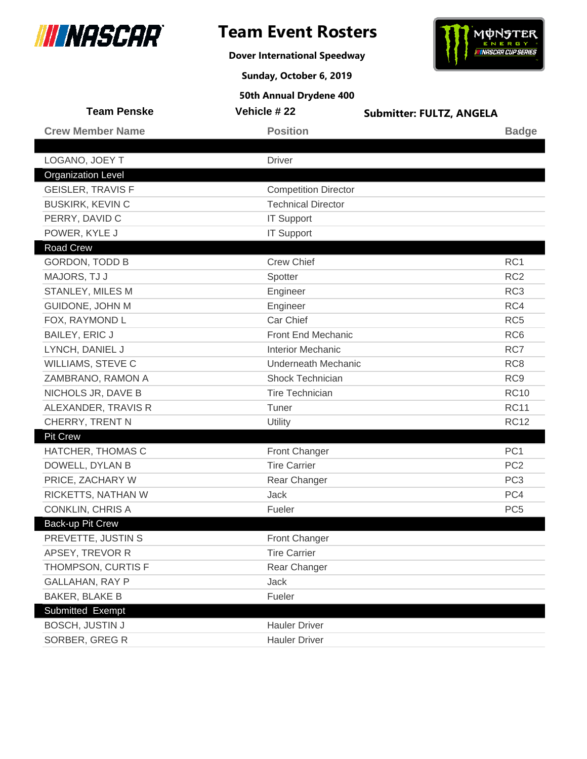

**Dover International Speedway**



**Sunday, October 6, 2019**

| <b>Team Penske</b>        | Vehicle # 22                | <b>Submitter: FULTZ, ANGELA</b> |
|---------------------------|-----------------------------|---------------------------------|
| <b>Crew Member Name</b>   | <b>Position</b>             | <b>Badge</b>                    |
|                           |                             |                                 |
| LOGANO, JOEY T            | <b>Driver</b>               |                                 |
| <b>Organization Level</b> |                             |                                 |
| <b>GEISLER, TRAVIS F</b>  | <b>Competition Director</b> |                                 |
| <b>BUSKIRK, KEVIN C</b>   | <b>Technical Director</b>   |                                 |
| PERRY, DAVID C            | <b>IT Support</b>           |                                 |
| POWER, KYLE J             | <b>IT Support</b>           |                                 |
| <b>Road Crew</b>          |                             |                                 |
| <b>GORDON, TODD B</b>     | <b>Crew Chief</b>           | RC1                             |
| MAJORS, TJ J              | Spotter                     | RC <sub>2</sub>                 |
| STANLEY, MILES M          | Engineer                    | RC <sub>3</sub>                 |
| GUIDONE, JOHN M           | Engineer                    | RC4                             |
| FOX, RAYMOND L            | Car Chief                   | RC <sub>5</sub>                 |
| <b>BAILEY, ERIC J</b>     | Front End Mechanic          | RC <sub>6</sub>                 |
| LYNCH, DANIEL J           | <b>Interior Mechanic</b>    | RC7                             |
| WILLIAMS, STEVE C         | <b>Underneath Mechanic</b>  | RC <sub>8</sub>                 |
| ZAMBRANO, RAMON A         | Shock Technician            | RC <sub>9</sub>                 |
| NICHOLS JR, DAVE B        | <b>Tire Technician</b>      | <b>RC10</b>                     |
| ALEXANDER, TRAVIS R       | Tuner                       | <b>RC11</b>                     |
| CHERRY, TRENT N           | Utility                     | <b>RC12</b>                     |
| <b>Pit Crew</b>           |                             |                                 |
| HATCHER, THOMAS C         | Front Changer               | PC <sub>1</sub>                 |
| DOWELL, DYLAN B           | <b>Tire Carrier</b>         | PC <sub>2</sub>                 |
| PRICE, ZACHARY W          | Rear Changer                | PC <sub>3</sub>                 |
| RICKETTS, NATHAN W        | <b>Jack</b>                 | PC4                             |
| <b>CONKLIN, CHRIS A</b>   | Fueler                      | PC <sub>5</sub>                 |
| Back-up Pit Crew          |                             |                                 |
| PREVETTE, JUSTIN S        | Front Changer               |                                 |
| APSEY, TREVOR R           | <b>Tire Carrier</b>         |                                 |
| THOMPSON, CURTIS F        | Rear Changer                |                                 |
| <b>GALLAHAN, RAY P</b>    | Jack                        |                                 |
| <b>BAKER, BLAKE B</b>     | Fueler                      |                                 |
| Submitted Exempt          |                             |                                 |
| <b>BOSCH, JUSTIN J</b>    | <b>Hauler Driver</b>        |                                 |
| SORBER, GREG R            | <b>Hauler Driver</b>        |                                 |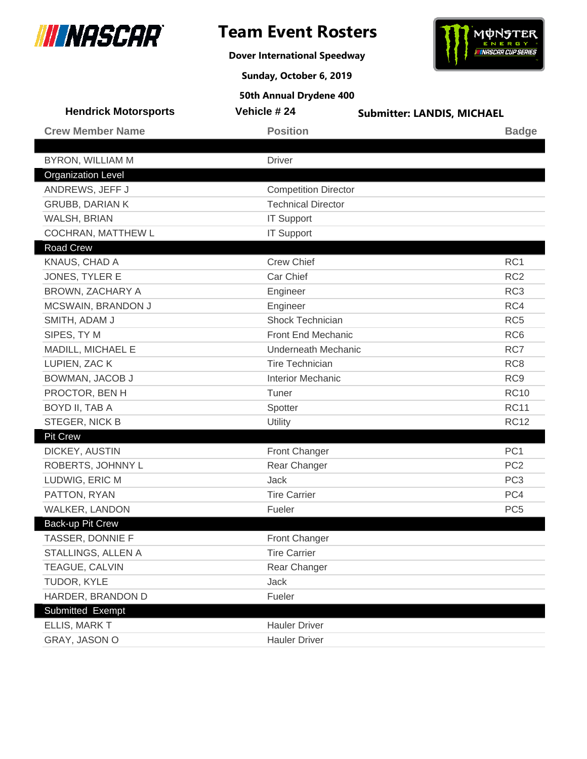

**Dover International Speedway**



**Sunday, October 6, 2019**

| <b>Hendrick Motorsports</b> | Vehicle #24                 | <b>Submitter: LANDIS, MICHAEL</b> |
|-----------------------------|-----------------------------|-----------------------------------|
| <b>Crew Member Name</b>     | <b>Position</b>             | <b>Badge</b>                      |
|                             |                             |                                   |
| <b>BYRON, WILLIAM M</b>     | <b>Driver</b>               |                                   |
| <b>Organization Level</b>   |                             |                                   |
| ANDREWS, JEFF J             | <b>Competition Director</b> |                                   |
| <b>GRUBB, DARIAN K</b>      | <b>Technical Director</b>   |                                   |
| WALSH, BRIAN                | <b>IT Support</b>           |                                   |
| COCHRAN, MATTHEW L          | <b>IT Support</b>           |                                   |
| <b>Road Crew</b>            |                             |                                   |
| KNAUS, CHAD A               | <b>Crew Chief</b>           | RC <sub>1</sub>                   |
| JONES, TYLER E              | Car Chief                   | RC <sub>2</sub>                   |
| BROWN, ZACHARY A            | Engineer                    | RC <sub>3</sub>                   |
| MCSWAIN, BRANDON J          | Engineer                    | RC4                               |
| SMITH, ADAM J               | Shock Technician            | RC <sub>5</sub>                   |
| SIPES, TY M                 | Front End Mechanic          | RC <sub>6</sub>                   |
| MADILL, MICHAEL E           | <b>Underneath Mechanic</b>  | RC7                               |
| LUPIEN, ZAC K               | <b>Tire Technician</b>      | RC <sub>8</sub>                   |
| BOWMAN, JACOB J             | <b>Interior Mechanic</b>    | RC <sub>9</sub>                   |
| PROCTOR, BEN H              | Tuner                       | <b>RC10</b>                       |
| BOYD II, TAB A              | Spotter                     | <b>RC11</b>                       |
| STEGER, NICK B              | Utility                     | <b>RC12</b>                       |
| <b>Pit Crew</b>             |                             |                                   |
| DICKEY, AUSTIN              | <b>Front Changer</b>        | PC <sub>1</sub>                   |
| ROBERTS, JOHNNY L           | Rear Changer                | PC <sub>2</sub>                   |
| LUDWIG, ERIC M              | <b>Jack</b>                 | PC <sub>3</sub>                   |
| PATTON, RYAN                | <b>Tire Carrier</b>         | PC4                               |
| WALKER, LANDON              | Fueler                      | PC <sub>5</sub>                   |
| Back-up Pit Crew            |                             |                                   |
| TASSER, DONNIE F            | Front Changer               |                                   |
| STALLINGS, ALLEN A          | <b>Tire Carrier</b>         |                                   |
| TEAGUE, CALVIN              | Rear Changer                |                                   |
| TUDOR, KYLE                 | Jack                        |                                   |
| HARDER, BRANDON D           | Fueler                      |                                   |
| Submitted Exempt            |                             |                                   |
| ELLIS, MARK T               | <b>Hauler Driver</b>        |                                   |
| GRAY, JASON O               | <b>Hauler Driver</b>        |                                   |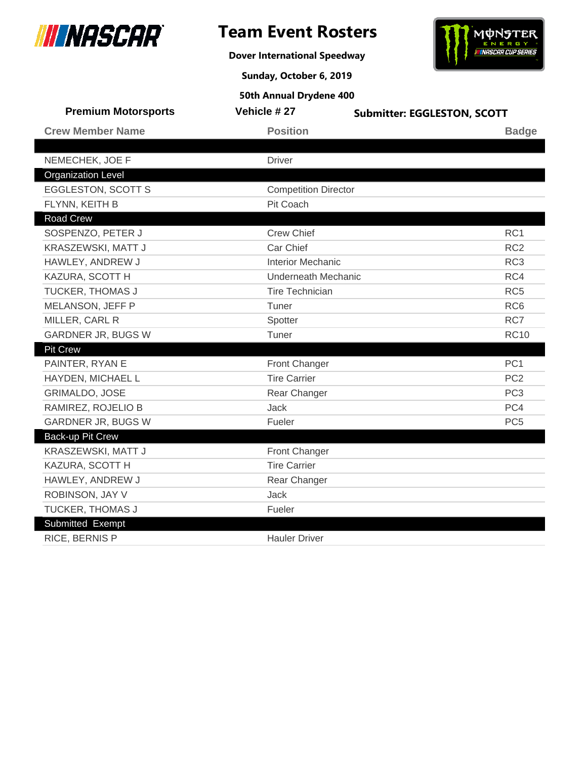

**Dover International Speedway**



**Sunday, October 6, 2019**

| <b>Premium Motorsports</b> | Vehicle #27                 | <b>Submitter: EGGLESTON, SCOTT</b> |
|----------------------------|-----------------------------|------------------------------------|
| <b>Crew Member Name</b>    | <b>Position</b>             | <b>Badge</b>                       |
|                            |                             |                                    |
| NEMECHEK, JOE F            | <b>Driver</b>               |                                    |
| <b>Organization Level</b>  |                             |                                    |
| <b>EGGLESTON, SCOTT S</b>  | <b>Competition Director</b> |                                    |
| FLYNN, KEITH B             | Pit Coach                   |                                    |
| <b>Road Crew</b>           |                             |                                    |
| SOSPENZO, PETER J          | <b>Crew Chief</b>           | RC1                                |
| KRASZEWSKI, MATT J         | Car Chief                   | RC <sub>2</sub>                    |
| HAWLEY, ANDREW J           | <b>Interior Mechanic</b>    | RC <sub>3</sub>                    |
| KAZURA, SCOTT H            | Underneath Mechanic         | RC4                                |
| TUCKER, THOMAS J           | <b>Tire Technician</b>      | RC <sub>5</sub>                    |
| MELANSON, JEFF P           | Tuner                       | RC <sub>6</sub>                    |
| MILLER, CARL R             | Spotter                     | RC7                                |
| GARDNER JR, BUGS W         | Tuner                       | <b>RC10</b>                        |
| <b>Pit Crew</b>            |                             |                                    |
| PAINTER, RYAN E            | Front Changer               | PC <sub>1</sub>                    |
| HAYDEN, MICHAEL L          | <b>Tire Carrier</b>         | PC <sub>2</sub>                    |
| <b>GRIMALDO, JOSE</b>      | Rear Changer                | PC <sub>3</sub>                    |
| RAMIREZ, ROJELIO B         | <b>Jack</b>                 | PC4                                |
| <b>GARDNER JR, BUGS W</b>  | Fueler                      | PC <sub>5</sub>                    |
| Back-up Pit Crew           |                             |                                    |
| KRASZEWSKI, MATT J         | <b>Front Changer</b>        |                                    |
| KAZURA, SCOTT H            | <b>Tire Carrier</b>         |                                    |
| HAWLEY, ANDREW J           | Rear Changer                |                                    |
| ROBINSON, JAY V            | <b>Jack</b>                 |                                    |
| TUCKER, THOMAS J           | Fueler                      |                                    |
| Submitted Exempt           |                             |                                    |
| RICE, BERNIS P             | <b>Hauler Driver</b>        |                                    |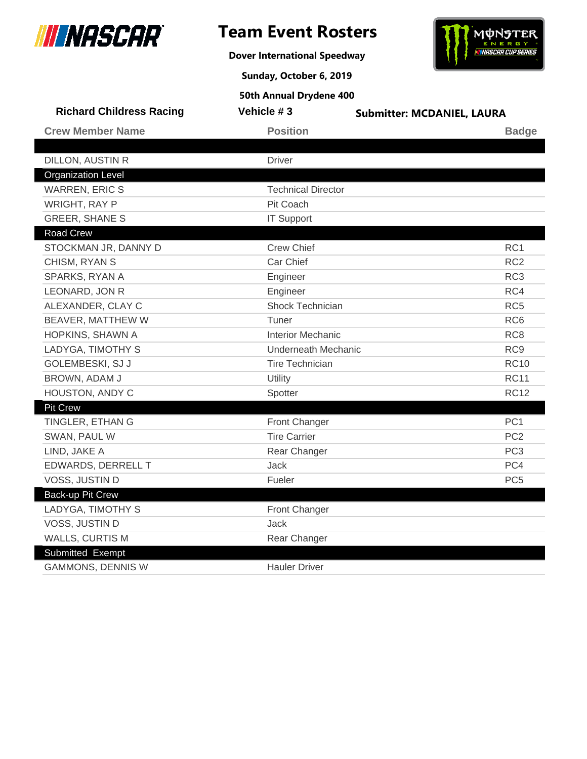

**Dover International Speedway**



**Sunday, October 6, 2019**

| <b>Richard Childress Racing</b> | Vehicle #3                 | <b>Submitter: MCDANIEL, LAURA</b> |
|---------------------------------|----------------------------|-----------------------------------|
| <b>Crew Member Name</b>         | <b>Position</b>            | <b>Badge</b>                      |
|                                 |                            |                                   |
| DILLON, AUSTIN R                | <b>Driver</b>              |                                   |
| <b>Organization Level</b>       |                            |                                   |
| <b>WARREN, ERIC S</b>           | <b>Technical Director</b>  |                                   |
| <b>WRIGHT, RAY P</b>            | Pit Coach                  |                                   |
| <b>GREER, SHANE S</b>           | <b>IT Support</b>          |                                   |
| <b>Road Crew</b>                |                            |                                   |
| STOCKMAN JR, DANNY D            | <b>Crew Chief</b>          | RC1                               |
| CHISM, RYAN S                   | Car Chief                  | RC <sub>2</sub>                   |
| SPARKS, RYAN A                  | Engineer                   | RC <sub>3</sub>                   |
| LEONARD, JON R                  | Engineer                   | RC4                               |
| ALEXANDER, CLAY C               | Shock Technician           | RC <sub>5</sub>                   |
| BEAVER, MATTHEW W               | Tuner                      | RC <sub>6</sub>                   |
| HOPKINS, SHAWN A                | <b>Interior Mechanic</b>   | RC <sub>8</sub>                   |
| LADYGA, TIMOTHY S               | <b>Underneath Mechanic</b> | RC <sub>9</sub>                   |
| GOLEMBESKI, SJ J                | <b>Tire Technician</b>     | <b>RC10</b>                       |
| BROWN, ADAM J                   | Utility                    | <b>RC11</b>                       |
| HOUSTON, ANDY C                 | Spotter                    | <b>RC12</b>                       |
| <b>Pit Crew</b>                 |                            |                                   |
| TINGLER, ETHAN G                | <b>Front Changer</b>       | PC <sub>1</sub>                   |
| SWAN, PAUL W                    | <b>Tire Carrier</b>        | PC <sub>2</sub>                   |
| LIND, JAKE A                    | Rear Changer               | PC <sub>3</sub>                   |
| EDWARDS, DERRELL T              | Jack                       | PC4                               |
| VOSS, JUSTIN D                  | Fueler                     | PC <sub>5</sub>                   |
| <b>Back-up Pit Crew</b>         |                            |                                   |
| LADYGA, TIMOTHY S               | Front Changer              |                                   |
| VOSS, JUSTIN D                  | Jack                       |                                   |
| <b>WALLS, CURTIS M</b>          | Rear Changer               |                                   |
| Submitted Exempt                |                            |                                   |
| <b>GAMMONS, DENNIS W</b>        | <b>Hauler Driver</b>       |                                   |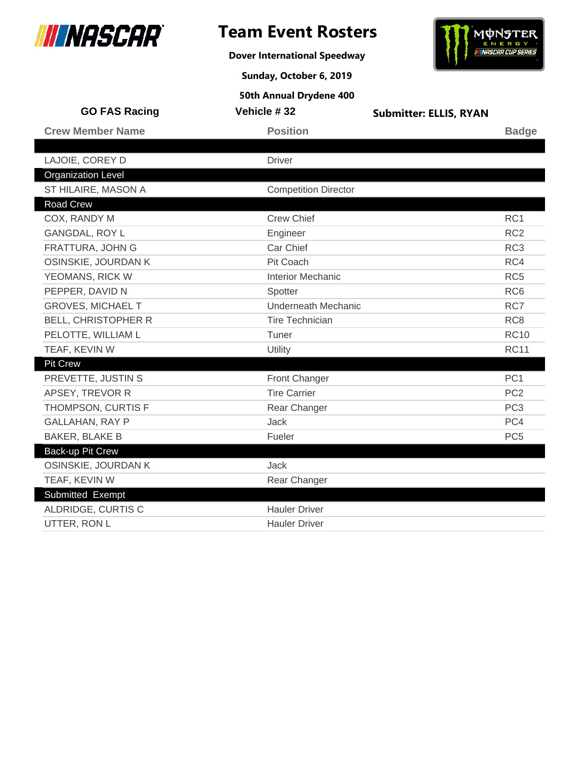

# **Team Event Rosters**

**Dover International Speedway**





| 50th Annual Drydene 400 |
|-------------------------|

| <b>GO FAS Racing</b>       | Vehicle #32                 | <b>Submitter: ELLIS, RYAN</b> |                 |
|----------------------------|-----------------------------|-------------------------------|-----------------|
| <b>Crew Member Name</b>    | <b>Position</b>             |                               | <b>Badge</b>    |
|                            |                             |                               |                 |
| LAJOIE, COREY D            | <b>Driver</b>               |                               |                 |
| <b>Organization Level</b>  |                             |                               |                 |
| ST HILAIRE, MASON A        | <b>Competition Director</b> |                               |                 |
| <b>Road Crew</b>           |                             |                               |                 |
| COX, RANDY M               | <b>Crew Chief</b>           |                               | RC1             |
| <b>GANGDAL, ROY L</b>      | Engineer                    |                               | RC <sub>2</sub> |
| FRATTURA, JOHN G           | Car Chief                   |                               | RC <sub>3</sub> |
| OSINSKIE, JOURDAN K        | Pit Coach                   |                               | RC4             |
| YEOMANS, RICK W            | <b>Interior Mechanic</b>    |                               | RC <sub>5</sub> |
| PEPPER, DAVID N            | Spotter                     |                               | RC <sub>6</sub> |
| <b>GROVES, MICHAEL T</b>   | Underneath Mechanic         |                               | RC7             |
| <b>BELL, CHRISTOPHER R</b> | Tire Technician             |                               | RC <sub>8</sub> |
| PELOTTE, WILLIAM L         | Tuner                       |                               | <b>RC10</b>     |
| TEAF, KEVIN W              | Utility                     |                               | <b>RC11</b>     |
| <b>Pit Crew</b>            |                             |                               |                 |
| PREVETTE, JUSTIN S         | Front Changer               |                               | PC <sub>1</sub> |
| APSEY, TREVOR R            | <b>Tire Carrier</b>         |                               | PC <sub>2</sub> |
| THOMPSON, CURTIS F         | Rear Changer                |                               | PC <sub>3</sub> |
| <b>GALLAHAN, RAY P</b>     | <b>Jack</b>                 |                               | PC4             |
| <b>BAKER, BLAKE B</b>      | Fueler                      |                               | PC <sub>5</sub> |
| <b>Back-up Pit Crew</b>    |                             |                               |                 |
| OSINSKIE, JOURDAN K        | <b>Jack</b>                 |                               |                 |
| TEAF, KEVIN W              | Rear Changer                |                               |                 |
| Submitted Exempt           |                             |                               |                 |
| ALDRIDGE, CURTIS C         | <b>Hauler Driver</b>        |                               |                 |
| UTTER, RON L               | <b>Hauler Driver</b>        |                               |                 |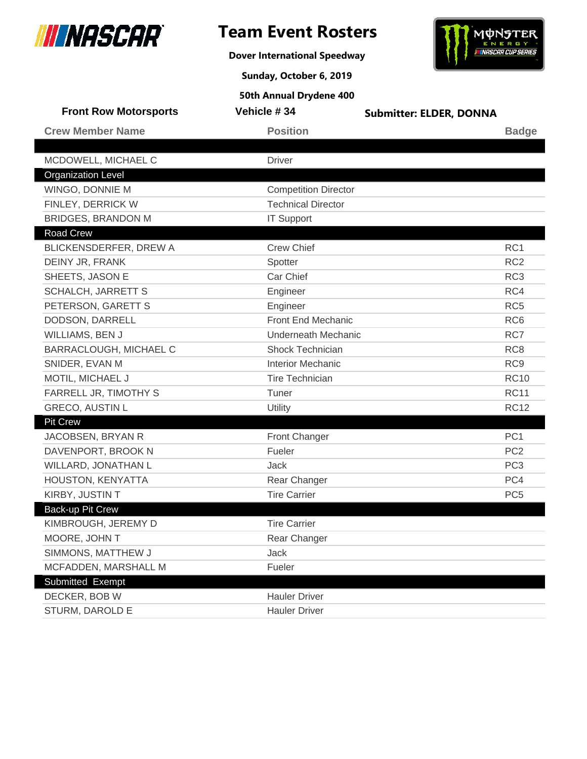

**Dover International Speedway**



**Sunday, October 6, 2019**

| <b>Front Row Motorsports</b> | Vehicle #34                 | <b>Submitter: ELDER, DONNA</b> |
|------------------------------|-----------------------------|--------------------------------|
| <b>Crew Member Name</b>      | <b>Position</b>             | <b>Badge</b>                   |
|                              |                             |                                |
| MCDOWELL, MICHAEL C          | <b>Driver</b>               |                                |
| <b>Organization Level</b>    |                             |                                |
| WINGO, DONNIE M              | <b>Competition Director</b> |                                |
| FINLEY, DERRICK W            | <b>Technical Director</b>   |                                |
| <b>BRIDGES, BRANDON M</b>    | <b>IT Support</b>           |                                |
| <b>Road Crew</b>             |                             |                                |
| BLICKENSDERFER, DREW A       | <b>Crew Chief</b>           | RC <sub>1</sub>                |
| DEINY JR, FRANK              | Spotter                     | RC <sub>2</sub>                |
| SHEETS, JASON E              | Car Chief                   | RC <sub>3</sub>                |
| <b>SCHALCH, JARRETT S</b>    | Engineer                    | RC4                            |
| PETERSON, GARETT S           | Engineer                    | RC <sub>5</sub>                |
| DODSON, DARRELL              | Front End Mechanic          | RC <sub>6</sub>                |
| WILLIAMS, BEN J              | <b>Underneath Mechanic</b>  | RC7                            |
| BARRACLOUGH, MICHAEL C       | <b>Shock Technician</b>     | RC <sub>8</sub>                |
| SNIDER, EVAN M               | <b>Interior Mechanic</b>    | RC <sub>9</sub>                |
| MOTIL, MICHAEL J             | <b>Tire Technician</b>      | <b>RC10</b>                    |
| FARRELL JR, TIMOTHY S        | Tuner                       | <b>RC11</b>                    |
| <b>GRECO, AUSTIN L</b>       | Utility                     | <b>RC12</b>                    |
| <b>Pit Crew</b>              |                             |                                |
| JACOBSEN, BRYAN R            | <b>Front Changer</b>        | PC <sub>1</sub>                |
| DAVENPORT, BROOK N           | Fueler                      | PC <sub>2</sub>                |
| WILLARD, JONATHAN L          | <b>Jack</b>                 | PC <sub>3</sub>                |
| HOUSTON, KENYATTA            | Rear Changer                | PC4                            |
| KIRBY, JUSTIN T              | <b>Tire Carrier</b>         | PC <sub>5</sub>                |
| <b>Back-up Pit Crew</b>      |                             |                                |
| KIMBROUGH, JEREMY D          | <b>Tire Carrier</b>         |                                |
| MOORE, JOHN T                | Rear Changer                |                                |
| SIMMONS, MATTHEW J           | Jack                        |                                |
| MCFADDEN, MARSHALL M         | Fueler                      |                                |
| Submitted Exempt             |                             |                                |
| DECKER, BOB W                | <b>Hauler Driver</b>        |                                |
| STURM, DAROLD E              | <b>Hauler Driver</b>        |                                |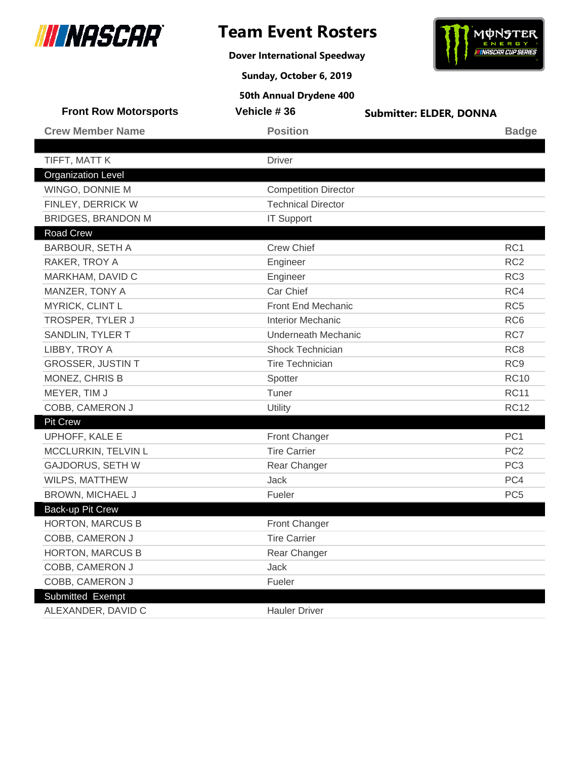

**Dover International Speedway**



**Sunday, October 6, 2019**

| <b>Front Row Motorsports</b>                  | Vehicle #36                 | <b>Submitter: ELDER, DONNA</b> |
|-----------------------------------------------|-----------------------------|--------------------------------|
| <b>Crew Member Name</b>                       | <b>Position</b>             | <b>Badge</b>                   |
|                                               |                             |                                |
| TIFFT, MATT K                                 | <b>Driver</b>               |                                |
| <b>Organization Level</b>                     |                             |                                |
| WINGO, DONNIE M                               | <b>Competition Director</b> |                                |
| FINLEY, DERRICK W                             | <b>Technical Director</b>   |                                |
| <b>BRIDGES, BRANDON M</b><br><b>Road Crew</b> | <b>IT Support</b>           |                                |
|                                               | <b>Crew Chief</b>           |                                |
| <b>BARBOUR, SETH A</b>                        |                             | RC <sub>1</sub>                |
| RAKER, TROY A                                 | Engineer                    | RC <sub>2</sub>                |
| MARKHAM, DAVID C                              | Engineer                    | RC <sub>3</sub>                |
| MANZER, TONY A                                | Car Chief                   | RC4                            |
| MYRICK, CLINT L                               | <b>Front End Mechanic</b>   | RC <sub>5</sub>                |
| TROSPER, TYLER J                              | <b>Interior Mechanic</b>    | RC <sub>6</sub>                |
| SANDLIN, TYLER T                              | Underneath Mechanic         | RC7                            |
| LIBBY, TROY A                                 | <b>Shock Technician</b>     | RC <sub>8</sub>                |
| <b>GROSSER, JUSTIN T</b>                      | <b>Tire Technician</b>      | RC <sub>9</sub>                |
| MONEZ, CHRIS B                                | Spotter                     | <b>RC10</b>                    |
| MEYER, TIM J                                  | Tuner                       | <b>RC11</b>                    |
| COBB, CAMERON J                               | Utility                     | <b>RC12</b>                    |
| <b>Pit Crew</b>                               |                             |                                |
| UPHOFF, KALE E                                | Front Changer               | PC <sub>1</sub>                |
| MCCLURKIN, TELVIN L                           | <b>Tire Carrier</b>         | PC <sub>2</sub>                |
| <b>GAJDORUS, SETH W</b>                       | Rear Changer                | PC <sub>3</sub>                |
| WILPS, MATTHEW                                | <b>Jack</b>                 | PC4                            |
| BROWN, MICHAEL J                              | Fueler                      | PC <sub>5</sub>                |
| <b>Back-up Pit Crew</b>                       |                             |                                |
| <b>HORTON, MARCUS B</b>                       | <b>Front Changer</b>        |                                |
| COBB, CAMERON J                               | <b>Tire Carrier</b>         |                                |
| <b>HORTON, MARCUS B</b>                       | Rear Changer                |                                |
| COBB, CAMERON J                               | Jack                        |                                |
| COBB, CAMERON J                               | Fueler                      |                                |
| Submitted Exempt                              |                             |                                |
| ALEXANDER, DAVID C                            | <b>Hauler Driver</b>        |                                |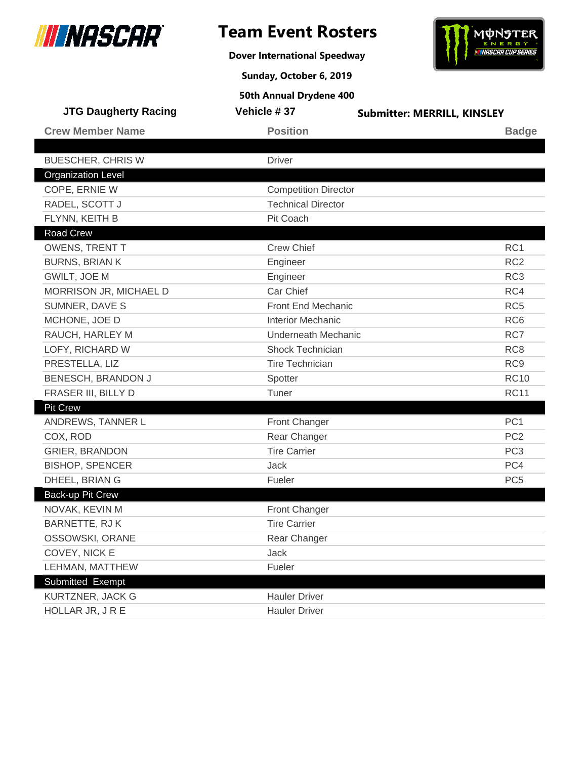

**Dover International Speedway**



**Sunday, October 6, 2019**

| <b>JTG Daugherty Racing</b> | Vehicle #37                 | <b>Submitter: MERRILL, KINSLEY</b> |
|-----------------------------|-----------------------------|------------------------------------|
| <b>Crew Member Name</b>     | <b>Position</b>             | <b>Badge</b>                       |
|                             |                             |                                    |
| <b>BUESCHER, CHRIS W</b>    | <b>Driver</b>               |                                    |
| <b>Organization Level</b>   |                             |                                    |
| COPE, ERNIE W               | <b>Competition Director</b> |                                    |
| RADEL, SCOTT J              | <b>Technical Director</b>   |                                    |
| FLYNN, KEITH B              | Pit Coach                   |                                    |
| Road Crew                   |                             |                                    |
| OWENS, TRENT T              | <b>Crew Chief</b>           | RC1                                |
| <b>BURNS, BRIAN K</b>       | Engineer                    | RC <sub>2</sub>                    |
| GWILT, JOE M                | Engineer                    | RC <sub>3</sub>                    |
| MORRISON JR, MICHAEL D      | Car Chief                   | RC4                                |
| SUMNER, DAVE S              | Front End Mechanic          | RC <sub>5</sub>                    |
| MCHONE, JOE D               | <b>Interior Mechanic</b>    | RC <sub>6</sub>                    |
| RAUCH, HARLEY M             | <b>Underneath Mechanic</b>  | RC7                                |
| LOFY, RICHARD W             | <b>Shock Technician</b>     | RC <sub>8</sub>                    |
| PRESTELLA, LIZ              | <b>Tire Technician</b>      | RC <sub>9</sub>                    |
| BENESCH, BRANDON J          | Spotter                     | <b>RC10</b>                        |
| FRASER III, BILLY D         | Tuner                       | <b>RC11</b>                        |
| <b>Pit Crew</b>             |                             |                                    |
| ANDREWS, TANNER L           | <b>Front Changer</b>        | PC <sub>1</sub>                    |
| COX, ROD                    | Rear Changer                | PC <sub>2</sub>                    |
| <b>GRIER, BRANDON</b>       | <b>Tire Carrier</b>         | PC <sub>3</sub>                    |
| <b>BISHOP, SPENCER</b>      | Jack                        | PC4                                |
| DHEEL, BRIAN G              | Fueler                      | PC <sub>5</sub>                    |
| Back-up Pit Crew            |                             |                                    |
| NOVAK, KEVIN M              | <b>Front Changer</b>        |                                    |
| <b>BARNETTE, RJK</b>        | <b>Tire Carrier</b>         |                                    |
| OSSOWSKI, ORANE             | Rear Changer                |                                    |
| COVEY, NICK E               | Jack                        |                                    |
| LEHMAN, MATTHEW             | Fueler                      |                                    |
| Submitted Exempt            |                             |                                    |
| KURTZNER, JACK G            | <b>Hauler Driver</b>        |                                    |
| HOLLAR JR, JRE              | <b>Hauler Driver</b>        |                                    |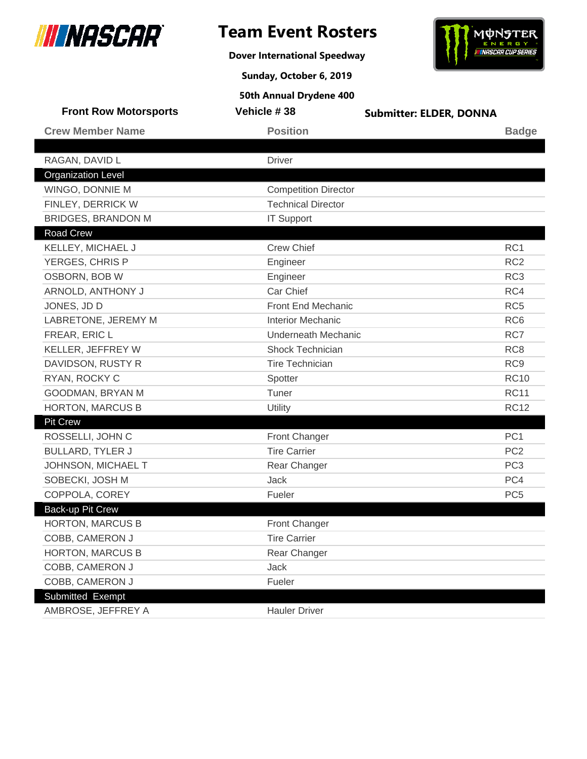

**Dover International Speedway**



**Sunday, October 6, 2019**

| <b>Front Row Motorsports</b> | Vehicle #38                 | <b>Submitter: ELDER, DONNA</b> |
|------------------------------|-----------------------------|--------------------------------|
| <b>Crew Member Name</b>      | <b>Position</b>             | <b>Badge</b>                   |
|                              |                             |                                |
| RAGAN, DAVID L               | <b>Driver</b>               |                                |
| <b>Organization Level</b>    |                             |                                |
| WINGO, DONNIE M              | <b>Competition Director</b> |                                |
| FINLEY, DERRICK W            | <b>Technical Director</b>   |                                |
| <b>BRIDGES, BRANDON M</b>    | <b>IT Support</b>           |                                |
| <b>Road Crew</b>             |                             |                                |
| KELLEY, MICHAEL J            | <b>Crew Chief</b>           | RC <sub>1</sub>                |
| YERGES, CHRIS P              | Engineer                    | RC <sub>2</sub>                |
| OSBORN, BOB W                | Engineer                    | RC <sub>3</sub>                |
| ARNOLD, ANTHONY J            | Car Chief                   | RC4                            |
| JONES, JD D                  | Front End Mechanic          | RC <sub>5</sub>                |
| LABRETONE, JEREMY M          | <b>Interior Mechanic</b>    | RC <sub>6</sub>                |
| FREAR, ERIC L                | <b>Underneath Mechanic</b>  | RC7                            |
| KELLER, JEFFREY W            | <b>Shock Technician</b>     | RC <sub>8</sub>                |
| DAVIDSON, RUSTY R            | <b>Tire Technician</b>      | RC <sub>9</sub>                |
| RYAN, ROCKY C                | Spotter                     | <b>RC10</b>                    |
| GOODMAN, BRYAN M             | Tuner                       | <b>RC11</b>                    |
| <b>HORTON, MARCUS B</b>      | Utility                     | <b>RC12</b>                    |
| <b>Pit Crew</b>              |                             |                                |
| ROSSELLI, JOHN C             | <b>Front Changer</b>        | PC <sub>1</sub>                |
| <b>BULLARD, TYLER J</b>      | <b>Tire Carrier</b>         | PC <sub>2</sub>                |
| JOHNSON, MICHAEL T           | Rear Changer                | PC <sub>3</sub>                |
| SOBECKI, JOSH M              | <b>Jack</b>                 | PC4                            |
| COPPOLA, COREY               | Fueler                      | PC <sub>5</sub>                |
| Back-up Pit Crew             |                             |                                |
| <b>HORTON, MARCUS B</b>      | <b>Front Changer</b>        |                                |
| COBB, CAMERON J              | <b>Tire Carrier</b>         |                                |
| <b>HORTON, MARCUS B</b>      | Rear Changer                |                                |
| COBB, CAMERON J              | Jack                        |                                |
| COBB, CAMERON J              | Fueler                      |                                |
| Submitted Exempt             |                             |                                |
| AMBROSE, JEFFREY A           | <b>Hauler Driver</b>        |                                |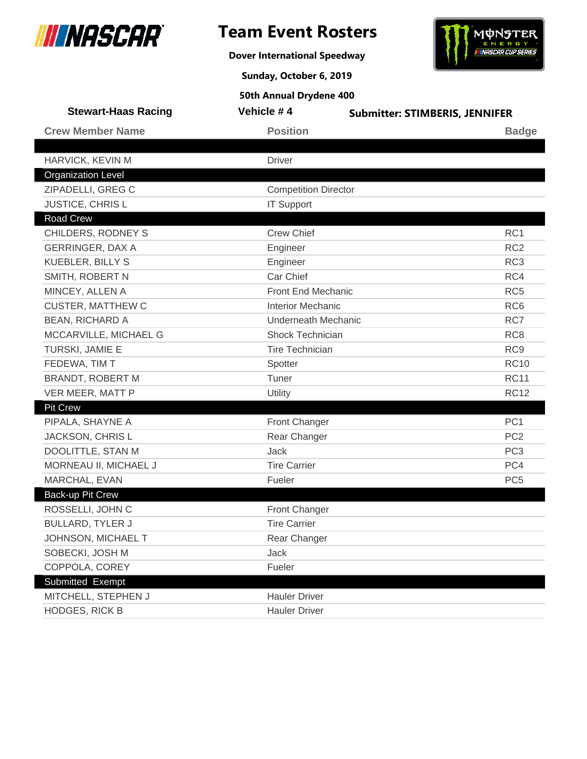

**Dover International Speedway**



**Sunday, October 6, 2019**

| <b>Stewart-Haas Racing</b> | Vehicle #4                  | <b>Submitter: STIMBERIS, JENNIFER</b> |                 |
|----------------------------|-----------------------------|---------------------------------------|-----------------|
| <b>Crew Member Name</b>    | <b>Position</b>             |                                       | <b>Badge</b>    |
|                            |                             |                                       |                 |
| HARVICK, KEVIN M           | <b>Driver</b>               |                                       |                 |
| <b>Organization Level</b>  |                             |                                       |                 |
| ZIPADELLI, GREG C          | <b>Competition Director</b> |                                       |                 |
| <b>JUSTICE, CHRISL</b>     | <b>IT Support</b>           |                                       |                 |
| Road Crew                  |                             |                                       |                 |
| CHILDERS, RODNEY S         | <b>Crew Chief</b>           |                                       | RC1             |
| <b>GERRINGER, DAX A</b>    | Engineer                    |                                       | RC <sub>2</sub> |
| <b>KUEBLER, BILLY S</b>    | Engineer                    |                                       | RC <sub>3</sub> |
| SMITH, ROBERT N            | Car Chief                   |                                       | RC4             |
| MINCEY, ALLEN A            | Front End Mechanic          |                                       | RC <sub>5</sub> |
| <b>CUSTER, MATTHEW C</b>   | <b>Interior Mechanic</b>    |                                       | RC <sub>6</sub> |
| <b>BEAN, RICHARD A</b>     | <b>Underneath Mechanic</b>  |                                       | RC7             |
| MCCARVILLE, MICHAEL G      | <b>Shock Technician</b>     |                                       | RC <sub>8</sub> |
| TURSKI, JAMIE E            | <b>Tire Technician</b>      |                                       | RC <sub>9</sub> |
| FEDEWA, TIM T              | Spotter                     |                                       | <b>RC10</b>     |
| <b>BRANDT, ROBERT M</b>    | Tuner                       |                                       | <b>RC11</b>     |
| VER MEER, MATT P           | Utility                     |                                       | <b>RC12</b>     |
| <b>Pit Crew</b>            |                             |                                       |                 |
| PIPALA, SHAYNE A           | Front Changer               |                                       | PC <sub>1</sub> |
| JACKSON, CHRIS L           | Rear Changer                |                                       | PC <sub>2</sub> |
| DOOLITTLE, STAN M          | <b>Jack</b>                 |                                       | PC <sub>3</sub> |
| MORNEAU II, MICHAEL J      | <b>Tire Carrier</b>         |                                       | PC4             |
| MARCHAL, EVAN              | Fueler                      |                                       | PC <sub>5</sub> |
| Back-up Pit Crew           |                             |                                       |                 |
| ROSSELLI, JOHN C           | Front Changer               |                                       |                 |
| <b>BULLARD, TYLER J</b>    | <b>Tire Carrier</b>         |                                       |                 |
| JOHNSON, MICHAEL T         | Rear Changer                |                                       |                 |
| SOBECKI, JOSH M            | Jack                        |                                       |                 |
| COPPOLA, COREY             | Fueler                      |                                       |                 |
| Submitted Exempt           |                             |                                       |                 |
| MITCHELL, STEPHEN J        | <b>Hauler Driver</b>        |                                       |                 |
| <b>HODGES, RICK B</b>      | <b>Hauler Driver</b>        |                                       |                 |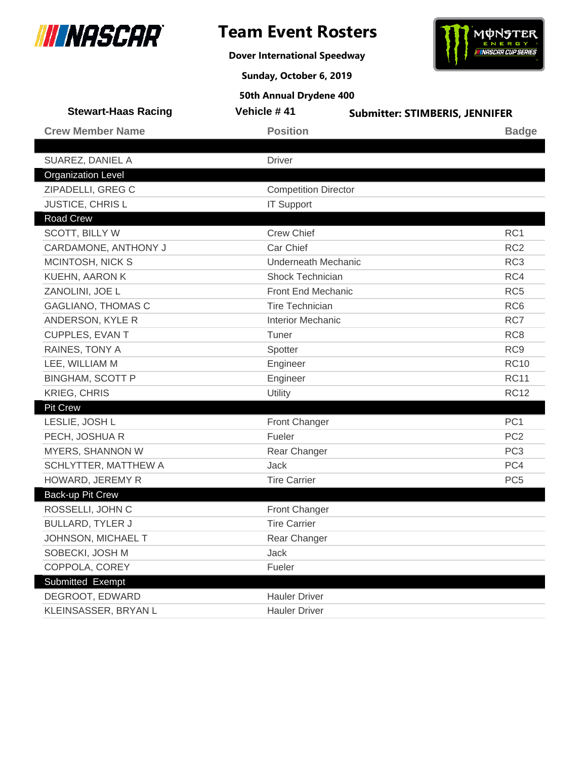

**Dover International Speedway**



**Sunday, October 6, 2019**

| <b>Stewart-Haas Racing</b> | Vehicle #41                 | <b>Submitter: STIMBERIS, JENNIFER</b> |
|----------------------------|-----------------------------|---------------------------------------|
| <b>Crew Member Name</b>    | <b>Position</b>             | <b>Badge</b>                          |
|                            |                             |                                       |
| SUAREZ, DANIEL A           | <b>Driver</b>               |                                       |
| <b>Organization Level</b>  |                             |                                       |
| ZIPADELLI, GREG C          | <b>Competition Director</b> |                                       |
| JUSTICE, CHRIS L           | <b>IT Support</b>           |                                       |
| <b>Road Crew</b>           |                             |                                       |
| SCOTT, BILLY W             | <b>Crew Chief</b>           | RC <sub>1</sub>                       |
| CARDAMONE, ANTHONY J       | Car Chief                   | RC <sub>2</sub>                       |
| MCINTOSH, NICK S           | <b>Underneath Mechanic</b>  | RC <sub>3</sub>                       |
| <b>KUEHN, AARON K</b>      | Shock Technician            | RC4                                   |
| ZANOLINI, JOE L            | Front End Mechanic          | RC <sub>5</sub>                       |
| <b>GAGLIANO, THOMAS C</b>  | <b>Tire Technician</b>      | RC <sub>6</sub>                       |
| ANDERSON, KYLE R           | <b>Interior Mechanic</b>    | RC7                                   |
| <b>CUPPLES, EVAN T</b>     | Tuner                       | RC <sub>8</sub>                       |
| RAINES, TONY A             | Spotter                     | RC <sub>9</sub>                       |
| LEE, WILLIAM M             | Engineer                    | <b>RC10</b>                           |
| <b>BINGHAM, SCOTT P</b>    | Engineer                    | <b>RC11</b>                           |
| <b>KRIEG, CHRIS</b>        | Utility                     | <b>RC12</b>                           |
| <b>Pit Crew</b>            |                             |                                       |
| LESLIE, JOSH L             | <b>Front Changer</b>        | PC <sub>1</sub>                       |
| PECH, JOSHUA R             | Fueler                      | PC <sub>2</sub>                       |
| MYERS, SHANNON W           | Rear Changer                | PC <sub>3</sub>                       |
| SCHLYTTER, MATTHEW A       | Jack                        | PC4                                   |
| HOWARD, JEREMY R           | <b>Tire Carrier</b>         | PC <sub>5</sub>                       |
| Back-up Pit Crew           |                             |                                       |
| ROSSELLI, JOHN C           | Front Changer               |                                       |
| <b>BULLARD, TYLER J</b>    | <b>Tire Carrier</b>         |                                       |
| JOHNSON, MICHAEL T         | Rear Changer                |                                       |
| SOBECKI, JOSH M            | Jack                        |                                       |
| COPPOLA, COREY             | Fueler                      |                                       |
| Submitted Exempt           |                             |                                       |
| DEGROOT, EDWARD            | <b>Hauler Driver</b>        |                                       |
| KLEINSASSER, BRYAN L       | <b>Hauler Driver</b>        |                                       |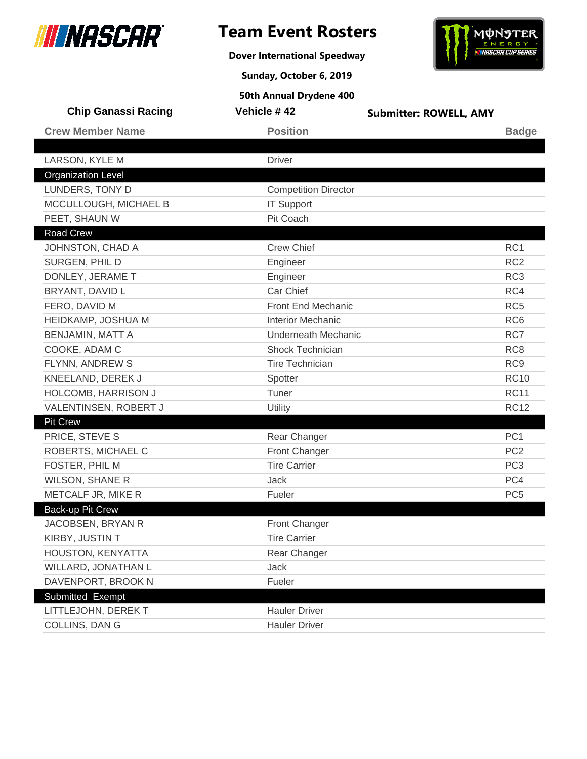

**Dover International Speedway**



**Sunday, October 6, 2019**

| <b>Chip Ganassi Racing</b> | Vehicle #42                 | <b>Submitter: ROWELL, AMY</b> |  |
|----------------------------|-----------------------------|-------------------------------|--|
| <b>Crew Member Name</b>    | <b>Position</b>             | <b>Badge</b>                  |  |
| LARSON, KYLE M             | <b>Driver</b>               |                               |  |
| <b>Organization Level</b>  |                             |                               |  |
| LUNDERS, TONY D            | <b>Competition Director</b> |                               |  |
| MCCULLOUGH, MICHAEL B      | <b>IT Support</b>           |                               |  |
| PEET, SHAUN W              | Pit Coach                   |                               |  |
| <b>Road Crew</b>           |                             |                               |  |
| JOHNSTON, CHAD A           | <b>Crew Chief</b>           | RC1                           |  |
| SURGEN, PHIL D             | Engineer                    | RC <sub>2</sub>               |  |
| DONLEY, JERAME T           | Engineer                    | RC <sub>3</sub>               |  |
| BRYANT, DAVID L            | Car Chief                   | RC4                           |  |
| FERO, DAVID M              | Front End Mechanic          | RC <sub>5</sub>               |  |
| HEIDKAMP, JOSHUA M         | <b>Interior Mechanic</b>    | RC <sub>6</sub>               |  |
| BENJAMIN, MATT A           | <b>Underneath Mechanic</b>  | RC7                           |  |
| COOKE, ADAM C              | Shock Technician            | RC <sub>8</sub>               |  |
| FLYNN, ANDREW S            | <b>Tire Technician</b>      | RC <sub>9</sub>               |  |
| KNEELAND, DEREK J          | Spotter                     | <b>RC10</b>                   |  |
| HOLCOMB, HARRISON J        | Tuner                       | <b>RC11</b>                   |  |
| VALENTINSEN, ROBERT J      | Utility                     | <b>RC12</b>                   |  |
| <b>Pit Crew</b>            |                             |                               |  |
| PRICE, STEVE S             | Rear Changer                | PC <sub>1</sub>               |  |
| ROBERTS, MICHAEL C         | <b>Front Changer</b>        | PC <sub>2</sub>               |  |
| FOSTER, PHIL M             | <b>Tire Carrier</b>         | PC <sub>3</sub>               |  |
| <b>WILSON, SHANE R</b>     | <b>Jack</b>                 | PC4                           |  |
| METCALF JR, MIKE R         | Fueler                      | PC <sub>5</sub>               |  |
| Back-up Pit Crew           |                             |                               |  |
| JACOBSEN, BRYAN R          | <b>Front Changer</b>        |                               |  |
| KIRBY, JUSTIN T            | <b>Tire Carrier</b>         |                               |  |
| HOUSTON, KENYATTA          | Rear Changer                |                               |  |
| WILLARD, JONATHAN L        | Jack                        |                               |  |
| DAVENPORT, BROOK N         | Fueler                      |                               |  |
| Submitted Exempt           |                             |                               |  |
| LITTLEJOHN, DEREK T        | <b>Hauler Driver</b>        |                               |  |
| COLLINS, DAN G             | <b>Hauler Driver</b>        |                               |  |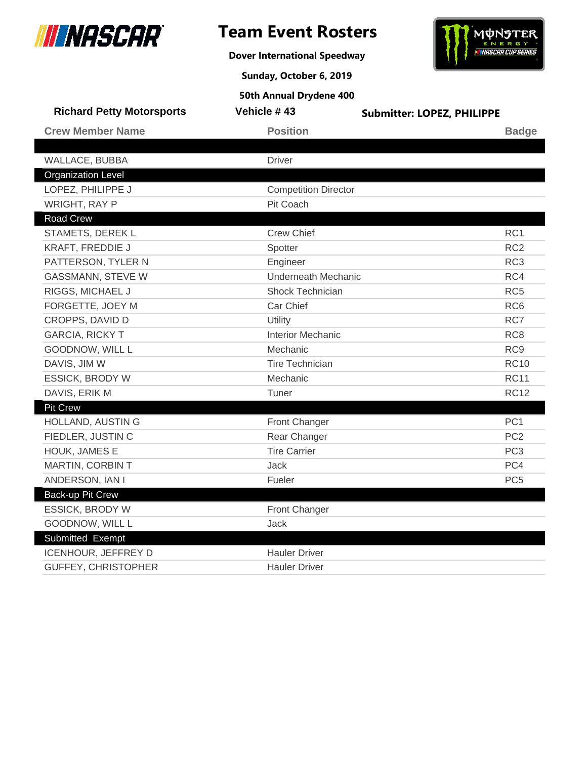

**Dover International Speedway**



**Sunday, October 6, 2019**

| <b>Richard Petty Motorsports</b> | Vehicle #43                 | <b>Submitter: LOPEZ, PHILIPPE</b> |                 |
|----------------------------------|-----------------------------|-----------------------------------|-----------------|
| <b>Crew Member Name</b>          | <b>Position</b>             |                                   | <b>Badge</b>    |
|                                  |                             |                                   |                 |
| WALLACE, BUBBA                   | <b>Driver</b>               |                                   |                 |
| <b>Organization Level</b>        |                             |                                   |                 |
| LOPEZ, PHILIPPE J                | <b>Competition Director</b> |                                   |                 |
| <b>WRIGHT, RAY P</b>             | Pit Coach                   |                                   |                 |
| <b>Road Crew</b>                 |                             |                                   |                 |
| STAMETS, DEREK L                 | <b>Crew Chief</b>           |                                   | RC1             |
| KRAFT, FREDDIE J                 | Spotter                     |                                   | RC <sub>2</sub> |
| PATTERSON, TYLER N               | Engineer                    |                                   | RC <sub>3</sub> |
| <b>GASSMANN, STEVE W</b>         | Underneath Mechanic         |                                   | RC4             |
| RIGGS, MICHAEL J                 | Shock Technician            |                                   | RC <sub>5</sub> |
| FORGETTE, JOEY M                 | Car Chief                   |                                   | RC <sub>6</sub> |
| CROPPS, DAVID D                  | Utility                     |                                   | RC7             |
| <b>GARCIA, RICKY T</b>           | <b>Interior Mechanic</b>    |                                   | RC <sub>8</sub> |
| GOODNOW, WILL L                  | Mechanic                    |                                   | RC <sub>9</sub> |
| DAVIS, JIM W                     | <b>Tire Technician</b>      |                                   | <b>RC10</b>     |
| <b>ESSICK, BRODY W</b>           | Mechanic                    |                                   | <b>RC11</b>     |
| DAVIS, ERIK M                    | Tuner                       |                                   | <b>RC12</b>     |
| <b>Pit Crew</b>                  |                             |                                   |                 |
| HOLLAND, AUSTIN G                | Front Changer               |                                   | PC <sub>1</sub> |
| FIEDLER, JUSTIN C                | Rear Changer                |                                   | PC <sub>2</sub> |
| HOUK, JAMES E                    | <b>Tire Carrier</b>         |                                   | PC <sub>3</sub> |
| MARTIN, CORBIN T                 | <b>Jack</b>                 |                                   | PC4             |
| ANDERSON, IAN I                  | Fueler                      |                                   | PC <sub>5</sub> |
| <b>Back-up Pit Crew</b>          |                             |                                   |                 |
| <b>ESSICK, BRODY W</b>           | Front Changer               |                                   |                 |
| GOODNOW, WILL L                  | Jack                        |                                   |                 |
| Submitted Exempt                 |                             |                                   |                 |
| ICENHOUR, JEFFREY D              | <b>Hauler Driver</b>        |                                   |                 |
| <b>GUFFEY, CHRISTOPHER</b>       | <b>Hauler Driver</b>        |                                   |                 |
|                                  |                             |                                   |                 |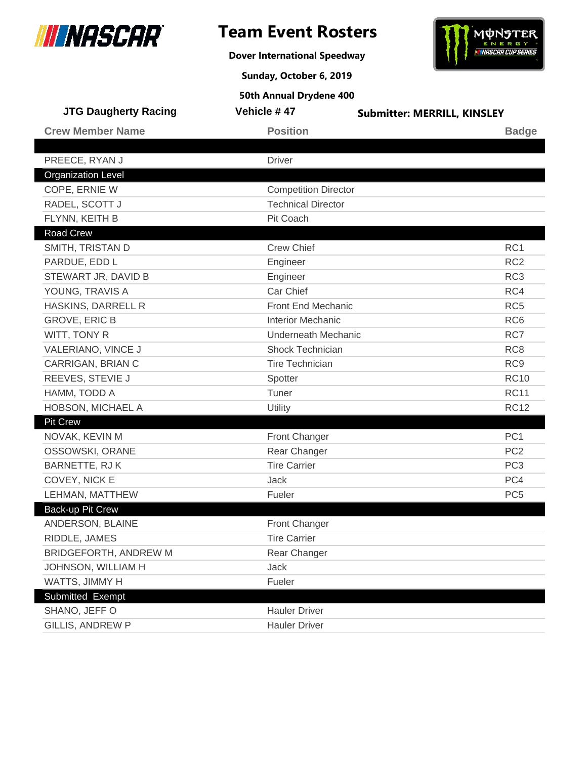

**Dover International Speedway**



**Sunday, October 6, 2019**

| <b>JTG Daugherty Racing</b>  | Vehicle #47                 | <b>Submitter: MERRILL, KINSLEY</b> |
|------------------------------|-----------------------------|------------------------------------|
| <b>Crew Member Name</b>      | <b>Position</b>             | <b>Badge</b>                       |
|                              |                             |                                    |
| PREECE, RYAN J               | <b>Driver</b>               |                                    |
| <b>Organization Level</b>    |                             |                                    |
| COPE, ERNIE W                | <b>Competition Director</b> |                                    |
| RADEL, SCOTT J               | <b>Technical Director</b>   |                                    |
| FLYNN, KEITH B               | Pit Coach                   |                                    |
| Road Crew                    |                             |                                    |
| SMITH, TRISTAN D             | <b>Crew Chief</b>           | RC1                                |
| PARDUE, EDD L                | Engineer                    | RC <sub>2</sub>                    |
| STEWART JR, DAVID B          | Engineer                    | RC <sub>3</sub>                    |
| YOUNG, TRAVIS A              | Car Chief                   | RC4                                |
| HASKINS, DARRELL R           | Front End Mechanic          | RC <sub>5</sub>                    |
| <b>GROVE, ERIC B</b>         | <b>Interior Mechanic</b>    | RC <sub>6</sub>                    |
| WITT, TONY R                 | <b>Underneath Mechanic</b>  | RC7                                |
| VALERIANO, VINCE J           | <b>Shock Technician</b>     | RC <sub>8</sub>                    |
| CARRIGAN, BRIAN C            | <b>Tire Technician</b>      | RC <sub>9</sub>                    |
| REEVES, STEVIE J             | Spotter                     | <b>RC10</b>                        |
| HAMM, TODD A                 | Tuner                       | <b>RC11</b>                        |
| HOBSON, MICHAEL A            | Utility                     | <b>RC12</b>                        |
| <b>Pit Crew</b>              |                             |                                    |
| NOVAK, KEVIN M               | Front Changer               | PC <sub>1</sub>                    |
| OSSOWSKI, ORANE              | Rear Changer                | PC <sub>2</sub>                    |
| BARNETTE, RJ K               | <b>Tire Carrier</b>         | PC <sub>3</sub>                    |
| COVEY, NICK E                | Jack                        | PC4                                |
| LEHMAN, MATTHEW              | Fueler                      | PC <sub>5</sub>                    |
| Back-up Pit Crew             |                             |                                    |
| ANDERSON, BLAINE             | <b>Front Changer</b>        |                                    |
| RIDDLE, JAMES                | <b>Tire Carrier</b>         |                                    |
| <b>BRIDGEFORTH, ANDREW M</b> | Rear Changer                |                                    |
| JOHNSON, WILLIAM H           | Jack                        |                                    |
| WATTS, JIMMY H               | Fueler                      |                                    |
| Submitted Exempt             |                             |                                    |
| SHANO, JEFF O                | <b>Hauler Driver</b>        |                                    |
| <b>GILLIS, ANDREW P</b>      | <b>Hauler Driver</b>        |                                    |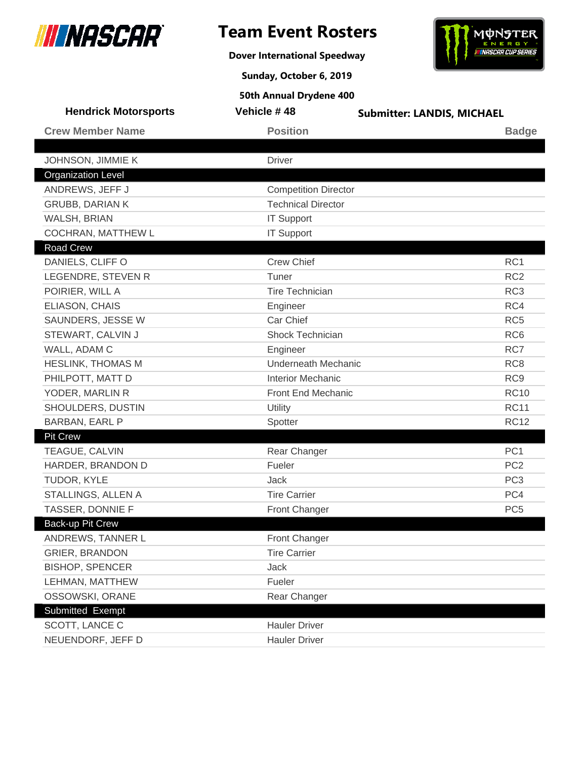

**Dover International Speedway**



**Sunday, October 6, 2019**

| <b>Hendrick Motorsports</b> | Vehicle #48                 | <b>Submitter: LANDIS, MICHAEL</b> |
|-----------------------------|-----------------------------|-----------------------------------|
| <b>Crew Member Name</b>     | <b>Position</b>             | <b>Badge</b>                      |
|                             |                             |                                   |
| JOHNSON, JIMMIE K           | <b>Driver</b>               |                                   |
| <b>Organization Level</b>   |                             |                                   |
| ANDREWS, JEFF J             | <b>Competition Director</b> |                                   |
| <b>GRUBB, DARIAN K</b>      | <b>Technical Director</b>   |                                   |
| WALSH, BRIAN                | <b>IT Support</b>           |                                   |
| COCHRAN, MATTHEW L          | <b>IT Support</b>           |                                   |
| <b>Road Crew</b>            |                             |                                   |
| DANIELS, CLIFF O            | <b>Crew Chief</b>           | RC <sub>1</sub>                   |
| LEGENDRE, STEVEN R          | Tuner                       | RC <sub>2</sub>                   |
| POIRIER, WILL A             | <b>Tire Technician</b>      | RC <sub>3</sub>                   |
| ELIASON, CHAIS              | Engineer                    | RC4                               |
| SAUNDERS, JESSE W           | Car Chief                   | RC <sub>5</sub>                   |
| STEWART, CALVIN J           | Shock Technician            | RC <sub>6</sub>                   |
| WALL, ADAM C                | Engineer                    | RC7                               |
| <b>HESLINK, THOMAS M</b>    | <b>Underneath Mechanic</b>  | RC <sub>8</sub>                   |
| PHILPOTT, MATT D            | <b>Interior Mechanic</b>    | RC <sub>9</sub>                   |
| YODER, MARLIN R             | Front End Mechanic          | <b>RC10</b>                       |
| SHOULDERS, DUSTIN           | Utility                     | <b>RC11</b>                       |
| BARBAN, EARL P              | Spotter                     | <b>RC12</b>                       |
| <b>Pit Crew</b>             |                             |                                   |
| TEAGUE, CALVIN              | Rear Changer                | PC <sub>1</sub>                   |
| HARDER, BRANDON D           | Fueler                      | PC <sub>2</sub>                   |
| TUDOR, KYLE                 | <b>Jack</b>                 | PC <sub>3</sub>                   |
| STALLINGS, ALLEN A          | <b>Tire Carrier</b>         | PC4                               |
| TASSER, DONNIE F            | Front Changer               | PC <sub>5</sub>                   |
| Back-up Pit Crew            |                             |                                   |
| ANDREWS, TANNER L           | Front Changer               |                                   |
| <b>GRIER, BRANDON</b>       | <b>Tire Carrier</b>         |                                   |
| <b>BISHOP, SPENCER</b>      | Jack                        |                                   |
| LEHMAN, MATTHEW             | Fueler                      |                                   |
| OSSOWSKI, ORANE             | Rear Changer                |                                   |
| Submitted Exempt            |                             |                                   |
| SCOTT, LANCE C              | <b>Hauler Driver</b>        |                                   |
| NEUENDORF, JEFF D           | <b>Hauler Driver</b>        |                                   |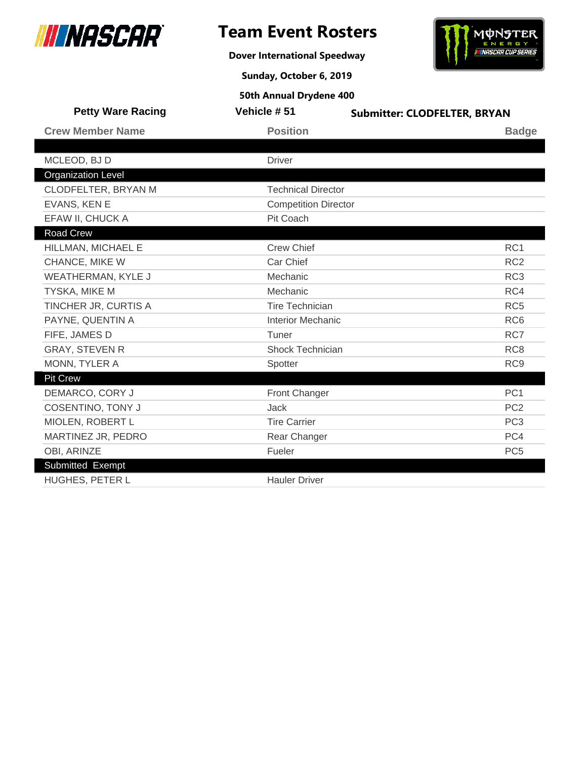

**Dover International Speedway**



**Sunday, October 6, 2019**

| <b>Petty Ware Racing</b>  | Vehicle #51                 | <b>Submitter: CLODFELTER, BRYAN</b> |
|---------------------------|-----------------------------|-------------------------------------|
| <b>Crew Member Name</b>   | <b>Position</b>             | <b>Badge</b>                        |
|                           |                             |                                     |
| MCLEOD, BJ D              | <b>Driver</b>               |                                     |
| <b>Organization Level</b> |                             |                                     |
| CLODFELTER, BRYAN M       | <b>Technical Director</b>   |                                     |
| EVANS, KEN E              | <b>Competition Director</b> |                                     |
| EFAW II, CHUCK A          | Pit Coach                   |                                     |
| <b>Road Crew</b>          |                             |                                     |
| HILLMAN, MICHAEL E        | <b>Crew Chief</b>           | RC1                                 |
| CHANCE, MIKE W            | Car Chief                   | RC <sub>2</sub>                     |
| WEATHERMAN, KYLE J        | Mechanic                    | RC <sub>3</sub>                     |
| TYSKA, MIKE M             | Mechanic                    | RC4                                 |
| TINCHER JR, CURTIS A      | <b>Tire Technician</b>      | RC <sub>5</sub>                     |
| PAYNE, QUENTIN A          | <b>Interior Mechanic</b>    | RC <sub>6</sub>                     |
| FIFE, JAMES D             | Tuner                       | RC7                                 |
| <b>GRAY, STEVEN R</b>     | <b>Shock Technician</b>     | RC <sub>8</sub>                     |
| MONN, TYLER A             | Spotter                     | RC <sub>9</sub>                     |
| <b>Pit Crew</b>           |                             |                                     |
| DEMARCO, CORY J           | Front Changer               | PC <sub>1</sub>                     |
| <b>COSENTINO, TONY J</b>  | Jack                        | PC <sub>2</sub>                     |
| MIOLEN, ROBERT L          | <b>Tire Carrier</b>         | PC <sub>3</sub>                     |
| MARTINEZ JR, PEDRO        | Rear Changer                | PC4                                 |
| OBI, ARINZE               | Fueler                      | PC <sub>5</sub>                     |
| Submitted Exempt          |                             |                                     |
| HUGHES, PETER L           | <b>Hauler Driver</b>        |                                     |
|                           |                             |                                     |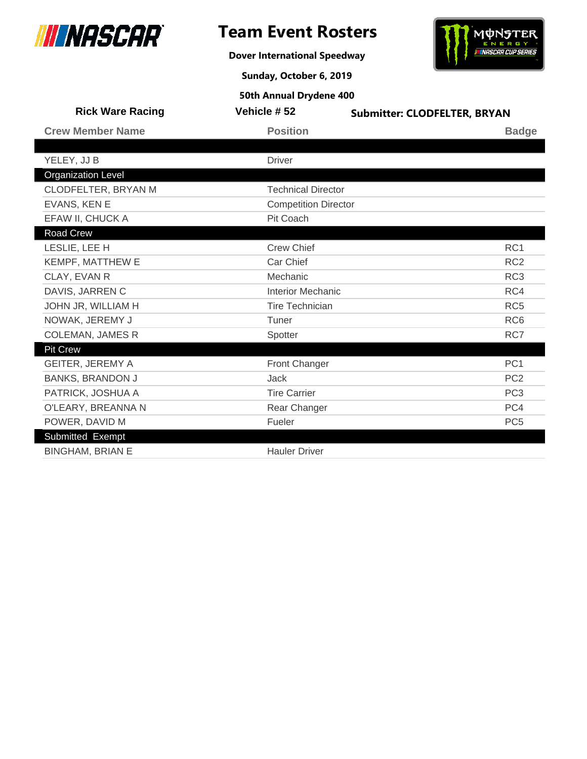

**Dover International Speedway**



**Sunday, October 6, 2019**

| <b>Rick Ware Racing</b>   | Vehicle #52                 | <b>Submitter: CLODFELTER, BRYAN</b> |
|---------------------------|-----------------------------|-------------------------------------|
| <b>Crew Member Name</b>   | <b>Position</b>             | <b>Badge</b>                        |
|                           |                             |                                     |
| YELEY, JJ B               | <b>Driver</b>               |                                     |
| <b>Organization Level</b> |                             |                                     |
| CLODFELTER, BRYAN M       | <b>Technical Director</b>   |                                     |
| EVANS, KEN E              | <b>Competition Director</b> |                                     |
| EFAW II, CHUCK A          | Pit Coach                   |                                     |
| Road Crew                 |                             |                                     |
| LESLIE, LEE H             | <b>Crew Chief</b>           | RC <sub>1</sub>                     |
| KEMPF, MATTHEW E          | Car Chief                   | RC <sub>2</sub>                     |
| CLAY, EVAN R              | Mechanic                    | RC <sub>3</sub>                     |
| DAVIS, JARREN C           | <b>Interior Mechanic</b>    | RC4                                 |
| JOHN JR, WILLIAM H        | Tire Technician             | RC <sub>5</sub>                     |
| NOWAK, JEREMY J           | Tuner                       | RC <sub>6</sub>                     |
| <b>COLEMAN, JAMES R</b>   | Spotter                     | RC7                                 |
| <b>Pit Crew</b>           |                             |                                     |
| <b>GEITER, JEREMY A</b>   | <b>Front Changer</b>        | PC <sub>1</sub>                     |
| <b>BANKS, BRANDON J</b>   | <b>Jack</b>                 | PC <sub>2</sub>                     |
| PATRICK, JOSHUA A         | <b>Tire Carrier</b>         | PC <sub>3</sub>                     |
| O'LEARY, BREANNA N        | Rear Changer                | PC4                                 |
| POWER, DAVID M            | Fueler                      | PC <sub>5</sub>                     |
| Submitted Exempt          |                             |                                     |
| <b>BINGHAM, BRIAN E</b>   | <b>Hauler Driver</b>        |                                     |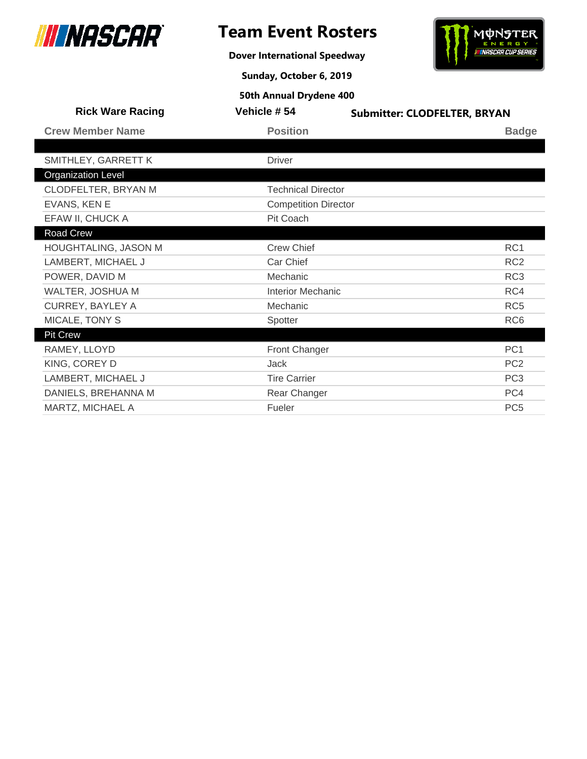

**Dover International Speedway**



**Sunday, October 6, 2019**

| <b>Rick Ware Racing</b>   | Vehicle #54                 | <b>Submitter: CLODFELTER, BRYAN</b> |  |
|---------------------------|-----------------------------|-------------------------------------|--|
| <b>Crew Member Name</b>   | <b>Position</b>             | <b>Badge</b>                        |  |
|                           |                             |                                     |  |
| SMITHLEY, GARRETT K       | <b>Driver</b>               |                                     |  |
| <b>Organization Level</b> |                             |                                     |  |
| CLODFELTER, BRYAN M       | <b>Technical Director</b>   |                                     |  |
| EVANS, KEN E              | <b>Competition Director</b> |                                     |  |
| EFAW II, CHUCK A          | Pit Coach                   |                                     |  |
| Road Crew                 |                             |                                     |  |
| HOUGHTALING, JASON M      | <b>Crew Chief</b>           | RC <sub>1</sub>                     |  |
| LAMBERT, MICHAEL J        | Car Chief                   | RC <sub>2</sub>                     |  |
| POWER, DAVID M            | Mechanic                    | RC <sub>3</sub>                     |  |
| WALTER, JOSHUA M          | <b>Interior Mechanic</b>    | RC4                                 |  |
| <b>CURREY, BAYLEY A</b>   | Mechanic                    | RC <sub>5</sub>                     |  |
| MICALE, TONY S            | Spotter                     | RC <sub>6</sub>                     |  |
| <b>Pit Crew</b>           |                             |                                     |  |
| RAMEY, LLOYD              | Front Changer               | PC <sub>1</sub>                     |  |
| KING, COREY D             | <b>Jack</b>                 | PC <sub>2</sub>                     |  |
| LAMBERT, MICHAEL J        | <b>Tire Carrier</b>         | PC <sub>3</sub>                     |  |
| DANIELS, BREHANNA M       | Rear Changer                | PC4                                 |  |
| MARTZ, MICHAEL A          | Fueler                      | PC <sub>5</sub>                     |  |
|                           |                             |                                     |  |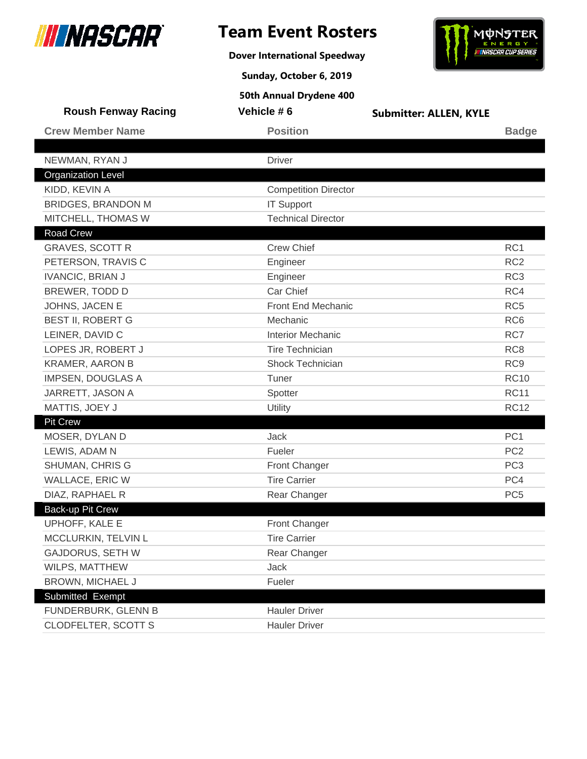

**Dover International Speedway**



**Sunday, October 6, 2019**

| <b>Roush Fenway Racing</b> | Vehicle #6                  | <b>Submitter: ALLEN, KYLE</b> |                 |
|----------------------------|-----------------------------|-------------------------------|-----------------|
| <b>Crew Member Name</b>    | <b>Position</b>             |                               | <b>Badge</b>    |
|                            |                             |                               |                 |
| NEWMAN, RYAN J             | <b>Driver</b>               |                               |                 |
| <b>Organization Level</b>  |                             |                               |                 |
| KIDD, KEVIN A              | <b>Competition Director</b> |                               |                 |
| <b>BRIDGES, BRANDON M</b>  | <b>IT Support</b>           |                               |                 |
| MITCHELL, THOMAS W         | <b>Technical Director</b>   |                               |                 |
| Road Crew                  |                             |                               |                 |
| <b>GRAVES, SCOTT R</b>     | <b>Crew Chief</b>           |                               | RC <sub>1</sub> |
| PETERSON, TRAVIS C         | Engineer                    |                               | RC <sub>2</sub> |
| <b>IVANCIC, BRIAN J</b>    | Engineer                    |                               | RC <sub>3</sub> |
| BREWER, TODD D             | Car Chief                   |                               | RC4             |
| JOHNS, JACEN E             | Front End Mechanic          |                               | RC <sub>5</sub> |
| <b>BEST II, ROBERT G</b>   | Mechanic                    |                               | RC <sub>6</sub> |
| LEINER, DAVID C            | <b>Interior Mechanic</b>    |                               | RC7             |
| LOPES JR, ROBERT J         | <b>Tire Technician</b>      |                               | RC <sub>8</sub> |
| <b>KRAMER, AARON B</b>     | <b>Shock Technician</b>     |                               | RC <sub>9</sub> |
| <b>IMPSEN, DOUGLAS A</b>   | Tuner                       |                               | <b>RC10</b>     |
| JARRETT, JASON A           | Spotter                     |                               | <b>RC11</b>     |
| MATTIS, JOEY J             | <b>Utility</b>              |                               | <b>RC12</b>     |
| <b>Pit Crew</b>            |                             |                               |                 |
| MOSER, DYLAN D             | <b>Jack</b>                 |                               | PC <sub>1</sub> |
| LEWIS, ADAM N              | Fueler                      |                               | PC <sub>2</sub> |
| SHUMAN, CHRIS G            | Front Changer               |                               | PC <sub>3</sub> |
| WALLACE, ERIC W            | <b>Tire Carrier</b>         |                               | PC4             |
| DIAZ, RAPHAEL R            | Rear Changer                |                               | PC <sub>5</sub> |
| Back-up Pit Crew           |                             |                               |                 |
| UPHOFF, KALE E             | Front Changer               |                               |                 |
| MCCLURKIN, TELVIN L        | <b>Tire Carrier</b>         |                               |                 |
| <b>GAJDORUS, SETH W</b>    | Rear Changer                |                               |                 |
| WILPS, MATTHEW             | Jack                        |                               |                 |
| BROWN, MICHAEL J           | Fueler                      |                               |                 |
| Submitted Exempt           |                             |                               |                 |
| FUNDERBURK, GLENN B        | <b>Hauler Driver</b>        |                               |                 |
| <b>CLODFELTER, SCOTT S</b> | <b>Hauler Driver</b>        |                               |                 |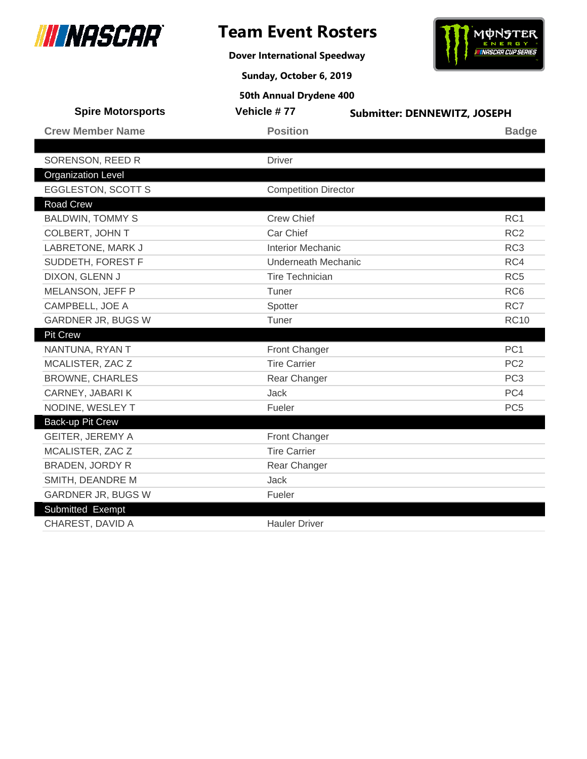

**Dover International Speedway**



**Sunday, October 6, 2019**

| <b>Crew Member Name</b><br><b>Position</b><br><b>Badge</b><br>SORENSON, REED R<br><b>Driver</b><br><b>Organization Level</b><br><b>EGGLESTON, SCOTT S</b><br><b>Competition Director</b><br><b>Road Crew</b><br><b>Crew Chief</b><br>RC <sub>1</sub><br><b>BALDWIN, TOMMY S</b><br>Car Chief<br>RC <sub>2</sub><br>COLBERT, JOHN T<br>RC <sub>3</sub><br>LABRETONE, MARK J<br><b>Interior Mechanic</b><br>SUDDETH, FOREST F<br>RC4<br>Underneath Mechanic<br>DIXON, GLENN J<br><b>Tire Technician</b><br>RC <sub>5</sub><br>RC <sub>6</sub><br>MELANSON, JEFF P<br>Tuner<br>RC7<br>CAMPBELL, JOE A<br>Spotter<br><b>GARDNER JR, BUGS W</b><br>Tuner<br><b>RC10</b><br>Pit Crew<br>PC <sub>1</sub><br>NANTUNA, RYAN T<br>Front Changer<br><b>Tire Carrier</b><br>PC <sub>2</sub><br>MCALISTER, ZAC Z<br>PC <sub>3</sub><br><b>BROWNE, CHARLES</b><br>Rear Changer |
|------------------------------------------------------------------------------------------------------------------------------------------------------------------------------------------------------------------------------------------------------------------------------------------------------------------------------------------------------------------------------------------------------------------------------------------------------------------------------------------------------------------------------------------------------------------------------------------------------------------------------------------------------------------------------------------------------------------------------------------------------------------------------------------------------------------------------------------------------------------|
|                                                                                                                                                                                                                                                                                                                                                                                                                                                                                                                                                                                                                                                                                                                                                                                                                                                                  |
|                                                                                                                                                                                                                                                                                                                                                                                                                                                                                                                                                                                                                                                                                                                                                                                                                                                                  |
|                                                                                                                                                                                                                                                                                                                                                                                                                                                                                                                                                                                                                                                                                                                                                                                                                                                                  |
|                                                                                                                                                                                                                                                                                                                                                                                                                                                                                                                                                                                                                                                                                                                                                                                                                                                                  |
|                                                                                                                                                                                                                                                                                                                                                                                                                                                                                                                                                                                                                                                                                                                                                                                                                                                                  |
|                                                                                                                                                                                                                                                                                                                                                                                                                                                                                                                                                                                                                                                                                                                                                                                                                                                                  |
|                                                                                                                                                                                                                                                                                                                                                                                                                                                                                                                                                                                                                                                                                                                                                                                                                                                                  |
|                                                                                                                                                                                                                                                                                                                                                                                                                                                                                                                                                                                                                                                                                                                                                                                                                                                                  |
|                                                                                                                                                                                                                                                                                                                                                                                                                                                                                                                                                                                                                                                                                                                                                                                                                                                                  |
|                                                                                                                                                                                                                                                                                                                                                                                                                                                                                                                                                                                                                                                                                                                                                                                                                                                                  |
|                                                                                                                                                                                                                                                                                                                                                                                                                                                                                                                                                                                                                                                                                                                                                                                                                                                                  |
|                                                                                                                                                                                                                                                                                                                                                                                                                                                                                                                                                                                                                                                                                                                                                                                                                                                                  |
|                                                                                                                                                                                                                                                                                                                                                                                                                                                                                                                                                                                                                                                                                                                                                                                                                                                                  |
|                                                                                                                                                                                                                                                                                                                                                                                                                                                                                                                                                                                                                                                                                                                                                                                                                                                                  |
|                                                                                                                                                                                                                                                                                                                                                                                                                                                                                                                                                                                                                                                                                                                                                                                                                                                                  |
|                                                                                                                                                                                                                                                                                                                                                                                                                                                                                                                                                                                                                                                                                                                                                                                                                                                                  |
|                                                                                                                                                                                                                                                                                                                                                                                                                                                                                                                                                                                                                                                                                                                                                                                                                                                                  |
|                                                                                                                                                                                                                                                                                                                                                                                                                                                                                                                                                                                                                                                                                                                                                                                                                                                                  |
| PC4<br>CARNEY, JABARIK<br>Jack                                                                                                                                                                                                                                                                                                                                                                                                                                                                                                                                                                                                                                                                                                                                                                                                                                   |
| NODINE, WESLEY T<br>PC <sub>5</sub><br>Fueler                                                                                                                                                                                                                                                                                                                                                                                                                                                                                                                                                                                                                                                                                                                                                                                                                    |
| Back-up Pit Crew                                                                                                                                                                                                                                                                                                                                                                                                                                                                                                                                                                                                                                                                                                                                                                                                                                                 |
| <b>GEITER, JEREMY A</b><br>Front Changer                                                                                                                                                                                                                                                                                                                                                                                                                                                                                                                                                                                                                                                                                                                                                                                                                         |
| <b>Tire Carrier</b><br>MCALISTER, ZAC Z                                                                                                                                                                                                                                                                                                                                                                                                                                                                                                                                                                                                                                                                                                                                                                                                                          |
| <b>BRADEN, JORDY R</b><br>Rear Changer                                                                                                                                                                                                                                                                                                                                                                                                                                                                                                                                                                                                                                                                                                                                                                                                                           |
| Jack<br>SMITH, DEANDRE M                                                                                                                                                                                                                                                                                                                                                                                                                                                                                                                                                                                                                                                                                                                                                                                                                                         |
| <b>GARDNER JR, BUGS W</b><br>Fueler                                                                                                                                                                                                                                                                                                                                                                                                                                                                                                                                                                                                                                                                                                                                                                                                                              |
| Submitted Exempt                                                                                                                                                                                                                                                                                                                                                                                                                                                                                                                                                                                                                                                                                                                                                                                                                                                 |
| CHAREST, DAVID A<br><b>Hauler Driver</b>                                                                                                                                                                                                                                                                                                                                                                                                                                                                                                                                                                                                                                                                                                                                                                                                                         |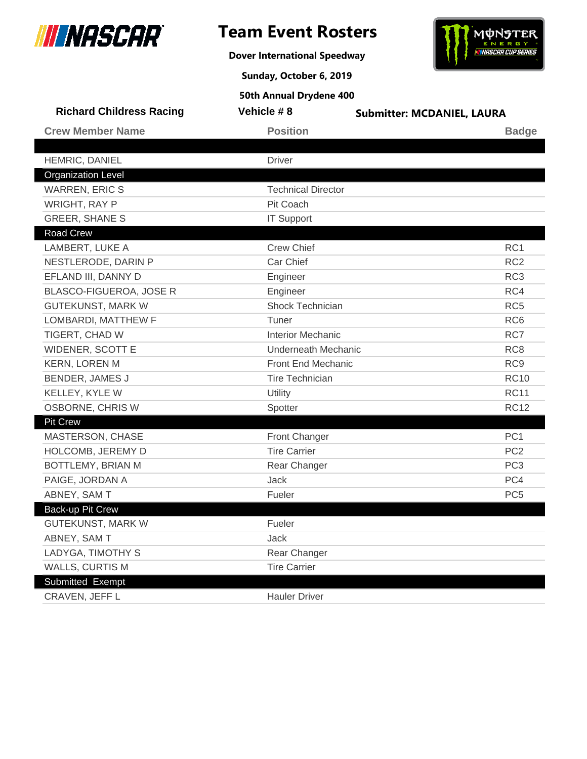

**Dover International Speedway**



**Sunday, October 6, 2019**

| <b>Richard Childress Racing</b> | Vehicle #8                   | <b>Submitter: MCDANIEL, LAURA</b> |
|---------------------------------|------------------------------|-----------------------------------|
| <b>Crew Member Name</b>         | <b>Position</b>              | <b>Badge</b>                      |
| HEMRIC, DANIEL                  | <b>Driver</b>                |                                   |
| <b>Organization Level</b>       |                              |                                   |
| <b>WARREN, ERIC S</b>           | <b>Technical Director</b>    |                                   |
| <b>WRIGHT, RAY P</b>            | Pit Coach                    |                                   |
| <b>GREER, SHANE S</b>           |                              |                                   |
| Road Crew                       | <b>IT Support</b>            |                                   |
| LAMBERT, LUKE A                 | <b>Crew Chief</b>            | RC <sub>1</sub>                   |
| NESTLERODE, DARIN P             | Car Chief                    | RC <sub>2</sub>                   |
| EFLAND III, DANNY D             |                              | RC <sub>3</sub>                   |
| BLASCO-FIGUEROA, JOSE R         | Engineer                     | RC4                               |
|                                 | Engineer<br>Shock Technician | RC <sub>5</sub>                   |
| <b>GUTEKUNST, MARK W</b>        | Tuner                        | RC <sub>6</sub>                   |
| LOMBARDI, MATTHEW F             | <b>Interior Mechanic</b>     | RC7                               |
| TIGERT, CHAD W                  |                              |                                   |
| WIDENER, SCOTT E                | Underneath Mechanic          | RC <sub>8</sub>                   |
| <b>KERN, LOREN M</b>            | Front End Mechanic           | RC <sub>9</sub>                   |
| <b>BENDER, JAMES J</b>          | <b>Tire Technician</b>       | <b>RC10</b>                       |
| KELLEY, KYLE W                  | Utility                      | <b>RC11</b>                       |
| OSBORNE, CHRIS W                | Spotter                      | <b>RC12</b>                       |
| <b>Pit Crew</b>                 |                              | PC <sub>1</sub>                   |
| MASTERSON, CHASE                | <b>Front Changer</b>         |                                   |
| HOLCOMB, JEREMY D               | <b>Tire Carrier</b>          | PC <sub>2</sub>                   |
| BOTTLEMY, BRIAN M               | Rear Changer                 | PC <sub>3</sub>                   |
| PAIGE, JORDAN A                 | Jack                         | PC4                               |
| ABNEY, SAM T                    | Fueler                       | PC <sub>5</sub>                   |
| Back-up Pit Crew                |                              |                                   |
| GUTEKUNST, MARK W               | Fueler                       |                                   |
| ABNEY, SAM T                    | Jack                         |                                   |
| LADYGA, TIMOTHY S               | Rear Changer                 |                                   |
| <b>WALLS, CURTIS M</b>          | <b>Tire Carrier</b>          |                                   |
| Submitted Exempt                |                              |                                   |
| CRAVEN, JEFF L                  | <b>Hauler Driver</b>         |                                   |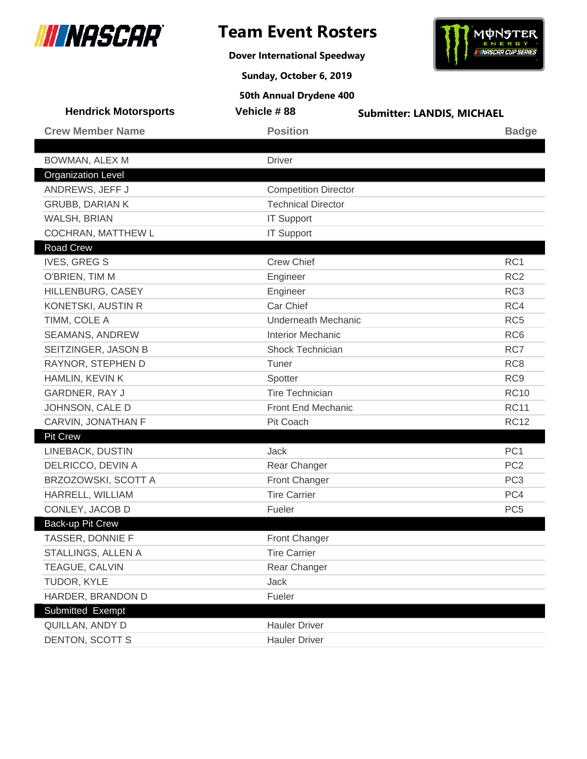

**Dover International Speedway**



**Sunday, October 6, 2019**

| <b>Hendrick Motorsports</b> | Vehicle #88                 | <b>Submitter: LANDIS, MICHAEL</b> |
|-----------------------------|-----------------------------|-----------------------------------|
| <b>Crew Member Name</b>     | <b>Position</b>             | <b>Badge</b>                      |
|                             |                             |                                   |
| BOWMAN, ALEX M              | <b>Driver</b>               |                                   |
| <b>Organization Level</b>   |                             |                                   |
| ANDREWS, JEFF J             | <b>Competition Director</b> |                                   |
| <b>GRUBB, DARIAN K</b>      | <b>Technical Director</b>   |                                   |
| WALSH, BRIAN                | <b>IT Support</b>           |                                   |
| <b>COCHRAN, MATTHEW L</b>   | <b>IT Support</b>           |                                   |
| <b>Road Crew</b>            |                             |                                   |
| <b>IVES, GREG S</b>         | <b>Crew Chief</b>           | RC <sub>1</sub>                   |
| O'BRIEN, TIM M              | Engineer                    | RC <sub>2</sub>                   |
| HILLENBURG, CASEY           | Engineer                    | RC <sub>3</sub>                   |
| KONETSKI, AUSTIN R          | Car Chief                   | RC4                               |
| TIMM, COLE A                | <b>Underneath Mechanic</b>  | RC <sub>5</sub>                   |
| SEAMANS, ANDREW             | <b>Interior Mechanic</b>    | RC <sub>6</sub>                   |
| SEITZINGER, JASON B         | <b>Shock Technician</b>     | RC7                               |
| RAYNOR, STEPHEN D           | Tuner                       | RC <sub>8</sub>                   |
| HAMLIN, KEVIN K             | Spotter                     | RC <sub>9</sub>                   |
| GARDNER, RAY J              | <b>Tire Technician</b>      | <b>RC10</b>                       |
| JOHNSON, CALE D             | Front End Mechanic          | <b>RC11</b>                       |
| CARVIN, JONATHAN F          | Pit Coach                   | <b>RC12</b>                       |
| <b>Pit Crew</b>             |                             |                                   |
| LINEBACK, DUSTIN            | Jack                        | PC <sub>1</sub>                   |
| DELRICCO, DEVIN A           | Rear Changer                | PC <sub>2</sub>                   |
| BRZOZOWSKI, SCOTT A         | Front Changer               | PC <sub>3</sub>                   |
| HARRELL, WILLIAM            | <b>Tire Carrier</b>         | PC4                               |
| CONLEY, JACOB D             | Fueler                      | PC <sub>5</sub>                   |
| Back-up Pit Crew            |                             |                                   |
| TASSER, DONNIE F            | Front Changer               |                                   |
| STALLINGS, ALLEN A          | <b>Tire Carrier</b>         |                                   |
| TEAGUE, CALVIN              | Rear Changer                |                                   |
| TUDOR, KYLE                 | Jack                        |                                   |
| HARDER, BRANDON D           | Fueler                      |                                   |
| Submitted Exempt            |                             |                                   |
| QUILLAN, ANDY D             | <b>Hauler Driver</b>        |                                   |
| DENTON, SCOTT S             | <b>Hauler Driver</b>        |                                   |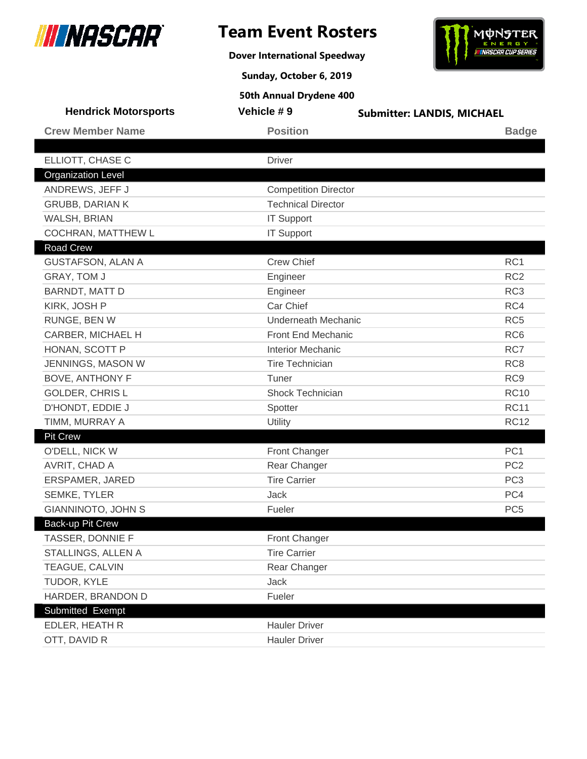

**Dover International Speedway**



**Sunday, October 6, 2019**

| <b>Hendrick Motorsports</b> | Vehicle #9                  | <b>Submitter: LANDIS, MICHAEL</b> |  |
|-----------------------------|-----------------------------|-----------------------------------|--|
| <b>Crew Member Name</b>     | <b>Position</b>             | <b>Badge</b>                      |  |
|                             |                             |                                   |  |
| ELLIOTT, CHASE C            | <b>Driver</b>               |                                   |  |
| <b>Organization Level</b>   |                             |                                   |  |
| ANDREWS, JEFF J             | <b>Competition Director</b> |                                   |  |
| <b>GRUBB, DARIAN K</b>      | <b>Technical Director</b>   |                                   |  |
| WALSH, BRIAN                | <b>IT Support</b>           |                                   |  |
| COCHRAN, MATTHEW L          | <b>IT Support</b>           |                                   |  |
| <b>Road Crew</b>            |                             |                                   |  |
| <b>GUSTAFSON, ALAN A</b>    | <b>Crew Chief</b>           | RC <sub>1</sub>                   |  |
| GRAY, TOM J                 | Engineer                    | RC <sub>2</sub>                   |  |
| BARNDT, MATT D              | Engineer                    | RC <sub>3</sub>                   |  |
| KIRK, JOSH P                | Car Chief                   | RC4                               |  |
| RUNGE, BEN W                | <b>Underneath Mechanic</b>  | RC <sub>5</sub>                   |  |
| CARBER, MICHAEL H           | Front End Mechanic          | RC <sub>6</sub>                   |  |
| HONAN, SCOTT P              | <b>Interior Mechanic</b>    | RC7                               |  |
| JENNINGS, MASON W           | <b>Tire Technician</b>      | RC <sub>8</sub>                   |  |
| <b>BOVE, ANTHONY F</b>      | Tuner                       | RC <sub>9</sub>                   |  |
| <b>GOLDER, CHRISL</b>       | Shock Technician            | <b>RC10</b>                       |  |
| D'HONDT, EDDIE J            | Spotter                     | <b>RC11</b>                       |  |
| TIMM, MURRAY A              | Utility                     | <b>RC12</b>                       |  |
| <b>Pit Crew</b>             |                             |                                   |  |
| O'DELL, NICK W              | Front Changer               | PC <sub>1</sub>                   |  |
| AVRIT, CHAD A               | Rear Changer                | PC <sub>2</sub>                   |  |
| ERSPAMER, JARED             | <b>Tire Carrier</b>         | PC <sub>3</sub>                   |  |
| <b>SEMKE, TYLER</b>         | Jack                        | PC4                               |  |
| <b>GIANNINOTO, JOHN S</b>   | Fueler                      | PC <sub>5</sub>                   |  |
| Back-up Pit Crew            |                             |                                   |  |
| TASSER, DONNIE F            | Front Changer               |                                   |  |
| STALLINGS, ALLEN A          | <b>Tire Carrier</b>         |                                   |  |
| TEAGUE, CALVIN              | Rear Changer                |                                   |  |
| TUDOR, KYLE                 | Jack                        |                                   |  |
| HARDER, BRANDON D           | Fueler                      |                                   |  |
| Submitted Exempt            |                             |                                   |  |
| EDLER, HEATH R              | <b>Hauler Driver</b>        |                                   |  |
| OTT, DAVID R                | <b>Hauler Driver</b>        |                                   |  |